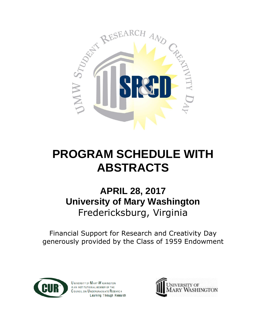

# **PROGRAM SCHEDULE WITH ABSTRACTS**

# **APRIL 28, 2017 University of Mary Washington** Fredericksburg, Virginia

Financial Support for Research and Creativity Day generously provided by the Class of 1959 Endowment



**UNIVERSITY OF MARY WASHINGTON** IS AN INSTITUTION AL MEMBER OF THE COUNCIL ON UNDERGRADUATE RESEARCH Learning Through Research

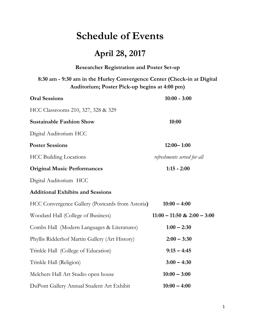# **Schedule of Events**

# **April 28, 2017**

| <b>Researcher Registration and Poster Set-up</b>                                                                         |                                 |  |
|--------------------------------------------------------------------------------------------------------------------------|---------------------------------|--|
| 8:30 am - 9:30 am in the Hurley Convergence Center (Check-in at Digital<br>Auditorium; Poster Pick-up begins at 4:00 pm) |                                 |  |
| <b>Oral Sessions</b>                                                                                                     | $10:00 - 3:00$                  |  |
| HCC Classrooms 210, 327, 328 & 329                                                                                       |                                 |  |
| <b>Sustainable Fashion Show</b>                                                                                          | 10:00                           |  |
| Digital Auditorium HCC                                                                                                   |                                 |  |
| <b>Poster Sessions</b>                                                                                                   | $12:00 - 1:00$                  |  |
| <b>HCC Building Locations</b>                                                                                            | refreshments served for all     |  |
| <b>Original Music Performances</b>                                                                                       | $1:15 - 2:00$                   |  |
| Digital Auditorium HCC                                                                                                   |                                 |  |
| <b>Additional Exhibits and Sessions</b>                                                                                  |                                 |  |
| HCC Convergence Gallery (Postcards from Astoria)                                                                         | $10:00 - 4:00$                  |  |
| Woodard Hall (College of Business)                                                                                       | $11:00 - 11:50$ & $2:00 - 3:00$ |  |
| Combs Hall (Modern Languages & Literatures)                                                                              | $1:00 - 2:30$                   |  |
| Phyllis Ridderhof Martin Gallery (Art History)                                                                           | $2:00 - 3:30$                   |  |
| Trinkle Hall (College of Education)                                                                                      | $9:15 - 4:45$                   |  |
| Trinkle Hall (Religion)                                                                                                  | $3:00 - 4:30$                   |  |
| Melchers Hall Art Studio open house                                                                                      | $10:00 - 3:00$                  |  |
| DuPont Gallery Annual Student Art Exhibit                                                                                | $10:00 - 4:00$                  |  |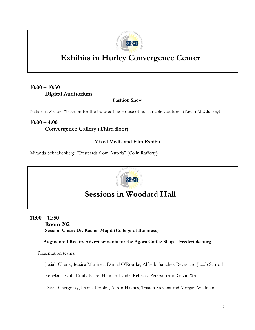

# **Exhibits in Hurley Convergence Center**

# **10:00 – 10:30 Digital Auditorium**

**Fashion Show**

Natascha Zelloe, "Fashion for the Future: The House of Sustainable Couture" (Kevin McCluskey)

# **10:00 – 4:00 Convergence Gallery (Third floor)**

# **Mixed Media and Film Exhibit**

Miranda Schnakenberg, "Postcards from Astoria" (Colin Rafferty)



# **Sessions in Woodard Hall**

# **11:00 – 11:50**

**Room 202 Session Chair: Dr. Kashef Majid (College of Business)**

# **Augmented Reality Advertisements for the Agora Coffee Shop – Fredericksburg**

Presentation teams:

- Josiah Cherry, Jessica Martinez, Daniel O'Rourke, Alfredo Sanchez-Reyes and Jacob Schroth
- Rebekah Eyob, Emily Kube, Hannah Lynde, Rebecca Peterson and Gavin Wall
- David Chergosky, Daniel Doolin, Aaron Haynes, Tristen Stevens and Morgan Wellman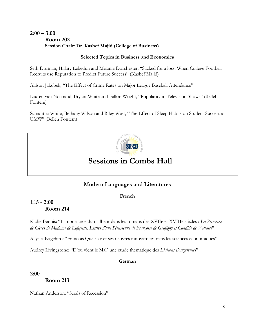# **2:00 – 3:00 Room 202 Session Chair: Dr. Kashef Majid (College of Business)**

# **Selected Topics in Business and Economics**

Seth Dorman, Hillary Lebedun and Melanie Dorchester, "Sacked for a loss: When College Football Recruits use Reputation to Predict Future Success" (Kashef Majid)

Allison Jakubek, "The Effect of Crime Rates on Major League Baseball Attendance"

Lauren van Nostrand, Bryant White and Fallon Wright, "Popularity in Television Shows" (Belleh Fontem)

Samantha White, Bethany Wilson and Riley West, "The Effect of Sleep Habits on Student Success at UMW" (Belleh Fontem)



# **Sessions in Combs Hall**

# **Modern Languages and Literatures**

# **French**

# **1:15 - 2:00 Room 214**

Kadie Bennis: "L'importance du malheur dans les romans des XVIIe et XVIIIe siècles : *La Princesse de Clèves de Madame de Lafayette, Lettres d'une Péruvienne de Françoise de Grafigny et Candide de Voltaire*''

Allyssa Kagehiro: "Francois Quesnay et ses oeuvres innovatrices dans les sciences economiques"

Audrey Livingstone: "D'ou vient le Mal? une etude thematique des *Liaisons Dangereuses*"

# **German**

# **2:00**

**Room 213**

Nathan Anderson: "Seeds of Recession"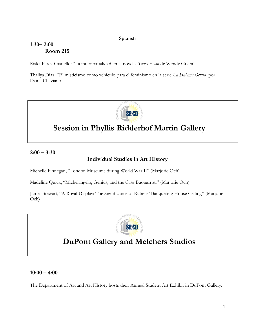# **Spanish**

# **1:30– 2:00 Room 215**

Riska Perez-Castiello: "La intertextualidad en la novella *Todos se van* de Wendy Guera"

Thallya Diaz: "El misticismo como vehiculo para el feminismo en la serie *La Habana Oculta* por Daina Chaviano"



# **Session in Phyllis Ridderhof Martin Gallery**

# **2:00 – 3:30**

# **Individual Studies in Art History**

Michelle Finnegan, "London Museums during World War II" (Marjorie Och)

Madeline Quick, "Michelangelo, Genius, and the Casa Buonarroti" (Marjorie Och)

James Stewart, "A Royal Display: The Significance of Rubens' Banqueting House Ceiling" (Marjorie Och)



# **DuPont Gallery and Melchers Studios**

# **10:00 – 4:00**

The Department of Art and Art History hosts their Annual Student Art Exhibit in DuPont Gallery.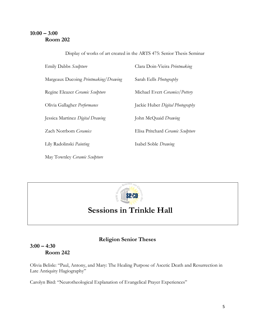# **10:00 – 3:00 Room 202**

Emily Dabbs *Sculpture* Clara Doin-Vieira *Printmaking* Margeaux Ducoing *Printmaking/Drawing* Sarah Eells *Photography* Regine Eleazer *Ceramic Sculpture* Michael Evert *Ceramics/Pottery* Olivia Gallagher *Performance* Jackie Huber *Digital Photography* Jessica Martinez *Digital Drawing* John McQuaid *Drawing* Zach Norrbom *Ceramics* Elisa Pritchard *Ceramic Sculpture* Lily Radolinski *Painting* Isabel Soble *Drawing* May Townley *Ceramic Sculpture*

Display of works of art created in the ARTS 475: Senior Thesis Seminar



# **Sessions in Trinkle Hall**

# **Religion Senior Theses**

# **3:00 – 4:30 Room 242**

Olivia Belisle: "Paul, Antony, and Mary: The Healing Purpose of Ascetic Death and Resurrection in Late Antiquity Hagiography"

Carolyn Bird: "Neurotheological Explanation of Evangelical Prayer Experiences"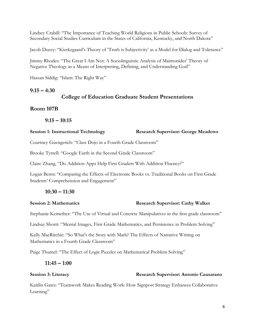Lindsey Crabill: "The Importance of Teaching World Religions in Public Schools: Survey of Secondary Social Studies Curriculum in the States of California, Kentucky, and North Dakota"

Jacob Ducey: "Kierkegaard's Theory of 'Truth is Subjectivity' as a Model for Dialog and Tolerance"

Jimmy Rhodes: "The Great I Am Not: A Sociolinguistic Analysis of Maimonides' Theory of Negative Theology as a Means of Interpreting, Defining, and Understanding God"

Hassan Siddig: "Islam: The Right Way"

# **9:15 – 4:30**

# **College of Education Graduate Student Presentations**

# **Room 107B**

# **9:15 – 10:15**

# **Session 1: Instructional Technology Research Supervisor: George Meadows**

Courtney Guengerich: "Class Dojo in a Fourth Grade Classroom"

Brooke Tyrrell: "Google Earth in the Second Grade Classroom"

Claire Zhang, "Do Addition Apps Help First Graders With Addition Fluency?"

Logan Berns: "Comparing the Effects of Electronic Books vs. Traditional Books on First Grade Students' Comprehension and Engagement"

# **10:30 – 11:30**

### **Session 2: Mathematics Research Supervisor: Cathy Walker**

Stephanie Kemether: "The Use of Virtual and Concrete Manipulatives in the first grade classroom"

Lindsay Shortt: "Mental Images, First Grade Mathematics, and Persistence in Problem Solving"

Kelly MacRitchie: "So What's the Story with Math? The Effects of Narrative Writing on Mathematics in a Fourth Grade Classroom"

Paige Thumel: "The Effect of Logic Puzzles on Mathematical Problem Solving"

# **11:45 – 1:00**

# **Research Supervisor: Antonio Causarano**<br>**Research Supervisor: Antonio Causarano**

Kaitlin Gates: "Teamwork Makes Reading Work: How Signpost Strategy Enhances Collaborative Learning"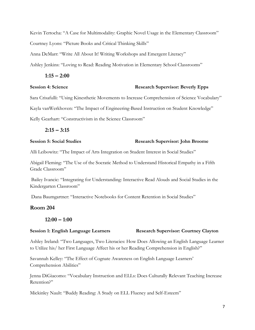Kevin Tertocha: "A Case for Multimodality: Graphic Novel Usage in the Elementary Classroom" Courtney Lyons: "Picture Books and Critical Thinking Skills"

Anna DeMarr: "Write All About It! Writing Workshops and Emergent Literacy"

Ashley Jenkins: "Loving to Read: Reading Motivation in Elementary School Classrooms"

### **1:15 – 2:00**

## **Session 4: Science Research Supervisor: Beverly Epps**

Sara Crisafulli: "Using Kinesthetic Movements to Increase Comprehension of Science Vocabulary"

Kayla vanWerkhoven: "The Impact of Engineering-Based Instruction on Student Knowledge"

Kelly Gearhart: "Constructivism in the Science Classroom"

**2:15 – 3:15**

## **Session 5: Social Studies Research Supervisor: John Broome**

Alli Leibowitz: "The Impact of Arts Integration on Student Interest in Social Studies"

Abigail Fleming: "The Use of the Socratic Method to Understand Historical Empathy in a Fifth Grade Classroom"

Bailey Ivancic: "Integrating for Understanding: Interactive Read Alouds and Social Studies in the Kindergarten Classroom"

Dana Baumgartner: "Interactive Notebooks for Content Retention in Social Studies"

# **Room 204**

# **12:00 – 1:00**

**Session 1: English Language Learners Research Supervisor: Courtney Clayton** 

Ashley Ireland: "Two Languages, Two Literacies: How Does Allowing an English Language Learner to Utilize his/ her First Language Affect his or her Reading Comprehension in English?"

Savannah Kelley: "The Effect of Cognate Awareness on English Language Learners' Comprehension Abilities"

Jenna DiGiacomo: "Vocabulary Instruction and ELLs: Does Culturally Relevant Teaching Increase Retention?"

Mickinley Nault: "Buddy Reading: A Study on ELL Fluency and Self-Esteem"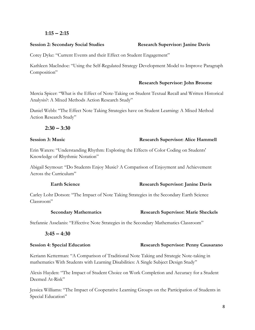### **1:15 – 2:15**

#### **Session 2: Secondary Social Studies Research Supervisor: Janine Davis**

Corey Dyke: "Current Events and their Effect on Student Engagement"

Kathleen MacIndoe: "Using the Self-Regulated Strategy Development Model to Improve Paragraph Composition"

#### **Research Supervisor: John Broome**

Mercia Spicer: "What is the Effect of Note-Taking on Student Textual Recall and Written Historical Analysis?: A Mixed Methods Action Research Study"

Daniel Webb: "The Effect Note Taking Strategies have on Student Learning: A Mixed Method Action Research Study"

#### **2:30 – 3:30**

#### **Session 3: Music Constant Constant Constant Constant Constant Research Supervisor: Alice Hammell**

Erin Waters: "Understanding Rhythm: Exploring the Effects of Color Coding on Students' Knowledge of Rhythmic Notation"

Abigail Seymour: "Do Students Enjoy Music? A Comparison of Enjoyment and Achievement Across the Curriculum"

### **Earth Science Research Supervisor: Janine Davis**

Carley Lohr Dotson: "The Impact of Note Taking Strategies in the Secondary Earth Science Classroom"

#### **Secondary Mathematics Research Supervisor: Marie Sheckels**

Stefannie Asselanis: "Effective Note Strategies in the Secondary Mathematics Classroom"

### **3:45 – 4:30**

#### **Session 4: Special Education Research Supervisor: Penny Causarano**

Keriann Ketterman: "A Comparison of Traditional Note Taking and Strategic Note-taking in mathematics With Students with Learning Disabilities: A Single Subject Design Study"

Alexis Hayden: "The Impact of Student Choice on Work Completion and Accuracy for a Student Deemed At-Risk"

Jessica Williams: "The Impact of Cooperative Learning Groups on the Participation of Students in Special Education"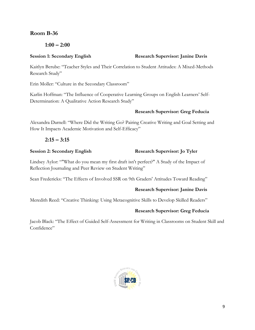# **Room B-36**

**1:00 – 2:00**

Kaitlyn Berube: "Teacher Styles and Their Correlation to Student Attitudes: A Mixed-Methods Research Study"

Erin Moller: "Culture in the Secondary Classroom"

Karlin Hoffman: "The Influence of Cooperative Learning Groups on English Learners' Self-Determination: A Qualitative Action Research Study"

# **Research Supervisor: Greg Feducia**

Alexandra Darnell: "Where Did the Writing Go? Pairing Creative Writing and Goal Setting and How It Impacts Academic Motivation and Self-Efficacy"

# **2:15 – 3:15**

# **Session 2: Secondary English Research Supervisor: Jo Tyler**

Lindsey Aylor: ""What do you mean my first draft isn't perfect?" A Study of the Impact of Reflection Journaling and Peer Review on Student Writing"

Sean Fredericks: "The Effects of Involved SSR on 9th Graders' Attitudes Toward Reading"

# **Research Supervisor: Janine Davis**

Meredith Reed: "Creative Thinking: Using Metacognitive Skills to Develop Skilled Readers"

# **Research Supervisor: Greg Feducia**

Jacob Black: "The Effect of Guided Self-Assessment for Writing in Classrooms on Student Skill and Confidence"



## **Session 1: Secondary English Research Supervisor: Janine Davis**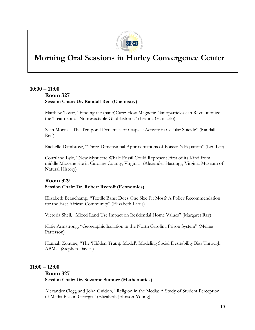

# **Morning Oral Sessions in Hurley Convergence Center**

# **10:00 – 11:00 Room 327 Session Chair: Dr. Randall Reif (Chemistry)**

Matthew Tovar, "Finding the (nano)Cure: How Magnetic Nanoparticles can Revolutionize the Treatment of Nonresectable Glioblastoma" (Leanna Giancarlo)

Sean Morris, "The Temporal Dynamics of Caspase Activity in Cellular Suicide" (Randall Reif)

Rachelle Dambrose, "Three-Dimensional Approximations of Poisson's Equation" (Leo Lee)

Courtland Lyle, "New Mysticete Whale Fossil Could Represent First of its Kind from middle Miocene site in Caroline County, Virginia" (Alexander Hastings, Virginia Museum of Natural History)

# **Room 329 Session Chair: Dr. Robert Rycroft (Economics)**

Elizabeth Beauchamp, "Textile Bans: Does One Size Fit Most? A Policy Recommendation for the East African Community" (Elizabeth Larus)

Victoria Sheil, "Mixed Land Use Impact on Residential Home Values" (Margaret Ray)

Katie Armstrong, "Geographic Isolation in the North Carolina Prison System" (Melina Patterson)

Hannah Zontine, "The 'Hidden Trump Model': Modeling Social Desirability Bias Through ABMs" (Stephen Davies)

# **11:00 – 12:00**

# **Room 327 Session Chair: Dr. Suzanne Sumner (Mathematics)**

Alexander Clegg and John Guidon, "Religion in the Media: A Study of Student Perception of Media Bias in Georgia" (Elizabeth Johnson-Young)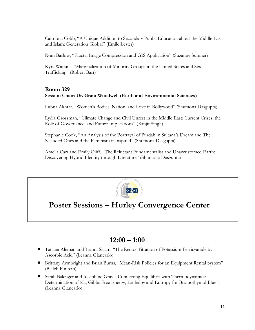Caitriona Cobb, "A Unique Addition to Secondary Public Education about the Middle East and Islam: Generation Global" (Emile Lester)

Ryan Barlow, "Fractal Image Compression and GIS Application" (Suzanne Sumner)

Kyra Watkins, "Marginalization of Minority Groups in the United States and Sex Trafficking" (Robert Barr)

# **Room 329 Session Chair: Dr. Grant Woodwell (Earth and Environmental Sciences)**

Lubna Akhtar, "Women's Bodies, Nation, and Love in Bollywood" (Shumona Dasgupta)

Lydia Grossman, "Climate Change and Civil Unrest in the Middle East: Current Crises, the Role of Governance, and Future Implications" (Ranjit Singh)

Stephanie Cook, "An Analysis of the Portrayal of Purdah in Sultana's Dream and The Secluded Ones and the Feminism it Inspired" (Shumona Dasgupta)

Amelia Carr and Emily Oliff, "The Reluctant Fundamentalist and Unaccustomed Earth: Discovering Hybrid Identity through Literature" (Shumona Dasgupta)



# **Poster Sessions – Hurley Convergence Center**

# **12:00 – 1:00**

- Tatiana Aleman and Tianni Sicam, "The Redox Titration of Potassium Ferricyanide by Ascorbic Acid" (Leanna Giancarlo)
- Brittany Armbright and Brian Burns, "Mean-Risk Policies for an Equipment Rental System" (Belleh Fontem)
- Sarah Balenger and Josephine Gray, "Connecting Equilibria with Thermodynamics: Determination of Ka, Gibbs Free Energy, Enthalpy and Entropy for Bromothymol Blue", (Leanna Giancarlo)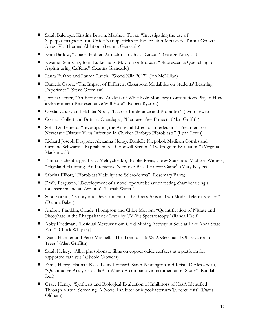- Sarah Balenger, Kristina Brown, Matthew Tovar, "Investigating the use of Superparamagnetic Iron Oxide Nanoparticles to Induce Non-Metastatic Tumor Growth Arrest Via Thermal Ablation (Leanna Giancarlo)
- Ryan Barlow, "Chaos: Hidden Attractors in Chua's Circuit" (George King, III)
- Kwame Bempong, John Lutkenhaus, M. Connor McLear, "Fluorescence Quenching of Aspirin using Caffeine" (Leanna Giancarlo)
- Laura Bufano and Lauren Rauch, "Wood Kiln 2017" (Jon McMillan)
- Danielle Capra, "The Impact of Different Classroom Modalities on Students' Learning Experience" (Steve Greenlaw)
- Jordan Carrier, "An Economic Analysis of What Role Monetary Contributions Play in How a Government Representative Will Vote" (Robert Rycroft)
- Crystal Cauley and Habiba Noor, "Lactose Intolerance and Probiotics" (Lynn Lewis)
- Connor Collett and Brittany Olenslager, "Heritage Tree Project" (Alan Griffith)
- Sofia Di Benigno, "Investigating the Antiviral Effect of Interleukin-1 Treatment on Newcastle Disease Virus Infection in Chicken Embryo Fibroblasts" (Lynn Lewis)
- Richard Joseph Dragone, Alexanna Hengy, Danielle Niepokoj, Madison Combs and Caroline Schwartz, "Rappahannock Goodwill Section 14© Program Evaluation" (Virginia Mackintosh)
- Emma Eichenberger, Lesya Melnychenko, Brooke Preas, Corey Staier and Madison Winters, "Highland Haunting- An Interactive Narrative-Based Horror Game" (Mary Kayler)
- Sabrina Elliott, "Fibroblast Viability and Scleroderma" (Rosemary Barra)
- Emily Ferguson, "Development of a novel operant behavior testing chamber using a touchscreen and an Arduino" (Parrish Waters)
- Sara Fioretti, "Embryonic Development of the Stress Axis in Two Model Teleost Species" (Dianne Baker)
- Andrew Franklin, Claude Thompson and Chloe Morton, "Quantification of Nitrate and Phosphate in the Rhappahanock River by UV-Vis Spectroscopy" (Randall Reif)
- Abby Friedman, "Residual Mercury from Gold Mining Activity in Soils at Lake Anna State Park" (Chuck Whipkey)
- Diana Handler and Peter Mitchell, "The Trees of UMW: A Geospatial Observation of Trees" (Alan Griffith)
- Sarah Heisey, "Alkyl phosphonate films on copper oxide surfaces as a platform for supported catalysis" (Nicole Crowder)
- Emily Henry, Hannah Kass, Laura Leonard, Sarah Pennington and Kristy D'Alessandro, "Quantitative Analyisis of BaP in Water: A comparative Instumentation Study" (Randall Reif)
- Grace Henry, "Synthesis and Biological Evaluation of Inhibitors of KasA Identified Through Virtual Screening: A Novel Inhibitor of Mycobacterium Tuberculosis" (Davis Oldham)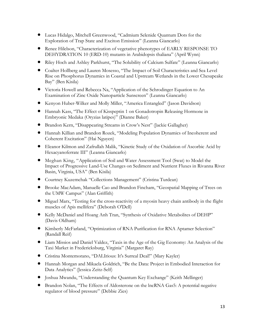- Lucas Hidalgo, Mitchell Greenwood, "Cadmium Selenide Quantum Dots for the Exploration of Trap State and Exciton Emission" (Leanna Giancarlo)
- Renee Hilelson, "Characterization of vegetative phenotypes of EARLY RESPONSE TO DEHYDRATION 10 (ERD-10) mutants in Arabidopsis thaliana" (April Wynn)
- Riley Hoch and Ashley Parkhurst, "The Solubility of Calcium Sulfate" (Leanna Giancarlo)
- Coalter Hollberg and Lauren Mosesso, "The Impact of Soil Characteristics and Sea Level Rise on Phosphorus Dynamics in Coastal and Upstream Wetlands in the Lower Chesapeake Bay" (Ben Kisila)
- Victoria Howell and Rebecca Na, "Application of the Schrodinger Equation to An Examination of Zinc Oxide Nanoparticle Sunscreen" (Leanna Giancarlo)
- Kenyon Huber-Wilker and Molly Miller, "America Entangled" (Jason Davidson)
- Hannah Kass, "The Effect of Kisspeptin 1 on Gonadotropin Releasing Hormone in Embryonic Medaka (Oryzias latipes)" (Dianne Baker)
- Brandon Kern, "Disappearing Streams in Crow's Nest" (Jackie Gallagher)
- Hannah Killian and Brandon Rozek, "Modeling Population Dynamics of Incoherent and Coherent Excitation" (Hai Nguyen)
- Eleanor Kilmon and Zafrullah Malik, "Kinetic Study of the Oxidation of Ascorbic Acid by Hexacyanoferrate III" (Leanna Giancarlo)
- Meghan King, "Application of Soil and Water Assessment Tool (Swat) to Model the Impact of Progressive Land-Use Changes on Sediment and Nutrient Fluxes in Rivanna River Basin, Virginia, USA" (Ben Kisila)
- Courtney Kuzemchak "Collections Management" (Cristina Turdean)
- Brooke MacAdam, Manuelle Cao and Brandon Fincham, "Geospatial Mapping of Trees on the UMW Campus" (Alan Griffith)
- Miguel Marx, "Testing for the cross-reactivity of a myosin heavy chain antibody in the flight muscles of Apis mellifera" (Deborah O'Dell)
- Kelly McDaniel and Hoang Anh Tran, "Synthesis of Oxidative Metabolites of DEHP" (Davis Oldham)
- Kimberly McFarland, "Optimization of RNA Purification for RNA Aptamer Selection" (Randall Reif)
- Liam Missios and Daniel Valdez, "Taxis in the Age of the Gig Economy: An Analysis of the Taxi Market in Fredericksburg, Virginia" (Margaret Ray)
- Cristina Montemorano, "DALIrious: It's Surreal Deal!" (Mary Kayler)
- Hannah Morgan and Mikaela Goldrich, "Be the Data: Project in Embodied Interaction for Data Analytics" (Jessica Zeitz-Self)
- Joshua Mwandu, "Understanding the Quantum Key Exchange" (Keith Mellinger)
- Brandon Nolan, "The Effects of Aldosterone on the lncRNA Gas5: A potential negative regulator of blood pressure" (Debbie Zies)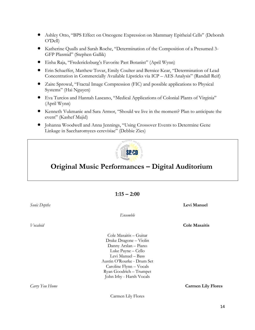- Ashley Otto, "BPS Effect on Oncogene Expression on Mammary Epitheial Cells" (Deborah O'Dell)
- Katherine Qualls and Sarah Roche, "Determination of the Composition of a Presumed 3- GFP Plasmid" (Stephen Gallik)
- Eisha Raja, "Fredericksburg's Favorite Past Botanist" (April Wynn)
- Erin Schaeffer, Matthew Tovar, Emily Coulter and Bernice Kear, "Determination of Lead Concentration in Commercially Available Lipsticks via ICP – AES Analysis" (Randall Reif)
- Zaire Sprowal, "Fractal Image Compression (FIC) and possible applications to Physical Systems" (Hai Nguyen)
- Eva Turcios and Hannah Lascano, "Medical Applications of Colonial Plants of Virginia" (April Wynn)
- Kenneth Vukmanic and Sara Armor, "Should we live in the moment? Plan to anticipate the event" (Kashef Majid)
- Johanna Woodwell and Anna Jennings, "Using Crossover Events to Determine Gene Linkage in Saccharomyces cerevisiae" (Debbie Zies)



# **Original Music Performances – Digital Auditorium**

**1:15 – 2:00**

| Sonic Depths     |                            | Levi Manuel               |
|------------------|----------------------------|---------------------------|
|                  | Ensemble                   |                           |
| <i>V</i> ocaloid |                            | <b>Cole Masaitis</b>      |
|                  | Cole Masaitis – Guitar     |                           |
|                  | Drake Dragone - Violin     |                           |
|                  | Danny Arslan - Piano       |                           |
|                  | Luke Payne - Cello         |                           |
|                  | Levi Manuel - Bass         |                           |
|                  | Austin O'Rourke - Drum Set |                           |
|                  | Caroline Flynn - Vocals    |                           |
|                  | Ryan Goodrich - Trumpet    |                           |
|                  | John Irby - Harsh Vocals   |                           |
| Carry You Home   |                            | <b>Carmen Lily Flores</b> |

Carmen Lily Flores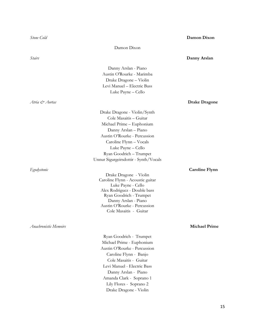*Atria & Aortas* **Drake Dragone**

*Anachronistic Memoirs* **Michael Prime**

Damon Dixon

#### *Stairs* **Danny Arslan**

Danny Arslan - Piano Austin O'Rourke - Marimba Drake Dragone – Violin Levi Manuel – Electric Bass Luke Payne – Cello

Drake Dragone - Violin/Synth Cole Masaitis – Guitar Michael Prime – Euphonium Danny Arslan – Piano Austin O'Rourke - Percussion Caroline Flynn – Vocals Luke Payne – Cello Ryan Goodrich – Trumpet Unnur Sigurgeirsdottir - Synth/Vocals

Drake Dragone - Violin Caroline Flynn - Acoustic guitar Luke Payne - Cello Alex Rodriguez - Double bass Ryan Goodrich - Trumpet Danny Arslan - Piano Austin O'Rourke - Percussion Cole Masaitis - Guitar

*Egodystonic* **Caroline Flynn**

Ryan Goodrich - Trumpet Michael Prime - Euphonium Austin O'Rourke - Percussion Caroline Flynn - Banjo Cole Masaitis - Guitar Levi Manuel - Electric Bass Danny Arslan - Piano Amanda Clark - Soprano 1 Lily Flores - Soprano 2 Drake Dragone - Violin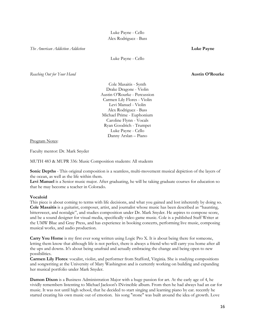Luke Payne - Cello Alex Rodriguez - Bass

*The American Addiction Addiction* **Luke Payne** 

Luke Payne - Cello

*Reaching Out for Your Hand* **Austin O'Rourke**

Cole Masaitis - Synth Drake Dragone - Violin Austin O'Rourke - Percussion Carmen Lily Flores - Violin Levi Manuel - Violin Alex Rodriguez - Bass Michael Prime - Euphonium Caroline Flynn - Vocals Ryan Goodrich - Trumpet Luke Payne - Cello Danny Arslan – Piano

Program Notes:

Faculty mentor: Dr. Mark Snyder

MUTH 483 & MUPR 336: Music Composition students: All students

**Sonic Depths** - This original composition is a seamless, multi-movement musical depiction of the layers of the ocean, as well as the life within them.

Levi Manuel is a Senior music major. After graduating, he will be taking graduate courses for education so that he may become a teacher in Colorado.

#### **Vocaloid**

This piece is about coming to terms with life decisions, and what you gained and lost inherently by doing so. **Cole Masaitis** is a guitarist, composer, artist, and journalist whose music has been described as "haunting, bittersweet, and nostalgic", and studies composition under Dr. Mark Snyder. He aspires to compose score, and be a sound designer for visual media, specifically video game music. Cole is a published Staff Writer at the UMW Blue and Gray Press, and has experience in booking concerts, performing live music, composing musical works, and audio production.

**Carry You Home** is my first ever song written using Logic Pro X. It is about being there for someone, letting them know that although life is not perfect, there is always a friend who will carry you home after all the ups and downs. It's about being unafraid and actually embracing the change and being open to new possibilities.

**Carmen Lily Flores**: vocalist, violist, and performer from Stafford, Virginia. She is studying compositions and songwriting at the University of Mary Washington and is currently working on building and expanding her musical portfolio under Mark Snyder.

**Damon Dixon** is a Business Administration Major with a huge passion for art. At the early age of 4, he vividly remembers listenting to Michael Jackson's INvincible album. From then he had always had an ear for music. It was not until high school, that he decided to start singing and learning piano by ear. recently he started creating his own music out of emotion. his song "stone" was built around the idea of growth. Love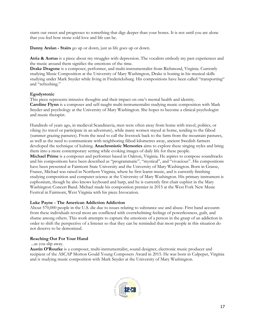starts out sweet and progresses to something that digs deeper than your bones. It is not until you are alone that you feel how stone cold love and life can be.

**Danny Arslan - Stairs** go up or down, just as life goes up or down.

**Atria & Aortas** is a piece about my struggles with depression. The vocalists embody my past experiences and the music around them signifies the emotions of the time.

**Drake Dragone** is a composer, performer, and multi-instrumentalist from Richmond, Virginia. Currently studying Music Composition at the University of Mary Washington, Drake is honing in his musical skills studying under Mark Snyder while living in Fredericksburg. His compositions have been called "transporting" and "refreshing."

#### **Egodystonic**

This piece represents intrusive thoughts and their impact on one's mental health and identity. **Caroline Flynn** is a composer and self-taught multi-instrumentalist studying music composition with Mark Snyder and psychology at the University of Mary Washington. She hopes to become a clinical psychologist and music therapist.

Hundreds of years ago, in medieval Scandinavia, men were often away from home with travel, politics, or víking (to travel or participate in an adventure), while many women stayed at home, tending to the fäbod (summer grazing pastures). From the need to call the livestock back to the farm from the mountain pastures, as well as the need to communicate with neighboring fäbod kilometres away, ancient Swedish farmers developed the technique of kulning. **Anachronistic Memories** aims to explore these singing styles and bring them into a more contemporary setting while evoking images of daily life for these people. **Michael Prime** is a composer and performer based in Oakton, Virginia. He aspires to compose soundtracks and his compositions have been described as "programmatic", "mystical", and "vivacious". His compositions have been presented at Fairmont State University and the University of Mary Washington. Born in Grasse, France, Michael was raised in Northern Virginia, where he first learnt music, and is currently finishing studying composition and computer science at the University of Mary Washington. His primary instrument is euphonium, though he also knows keyboard and harp, and he is currently first chair euphist in the Mary Washington Concert Band. Michael made his composition premier in 2015 at the West Fork New Music Festival in Fairmont, West Virginia with his piece Invocation.

#### **Luke Payne - The American Addiction Addiction**

About 570,000 people in the U.S. die due to issues relating to substance use and abuse. First hand accounts from these individuals reveal most are conflicted with overwhelming feelings of powerlessness, guilt, and shame among others. This work attempts to capture the emotions of a person in the grasp of an addiction in order to shift the perspective of a listener so that they can be reminded that most people in this situation do not deserve to be demonized.

### **Reaching Out For Your Hand**

...as you slip away.

**Austin O'Rourke** is a composer, multi-instrumentalist, sound designer, electronic music producer and recipient of the ASCAP Morton Gould Young Composers Award in 2015. He was born in Culpeper, Virginia and is studying music composition with Mark Snyder at the University of Mary Washington.

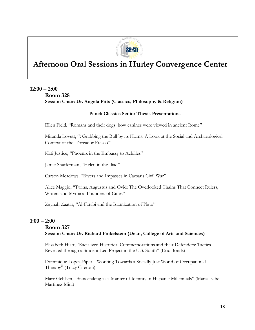

# **Afternoon Oral Sessions in Hurley Convergence Center**

# **12:00 – 2:00**

# **Room 328 Session Chair: Dr. Angela Pitts (Classics, Philosophy & Religion)**

# **Panel: Classics Senior Thesis Presentations**

Ellen Field, "Romans and their dogs: how canines were viewed in ancient Rome"

Miranda Lovett, "**:** Grabbing the Bull by its Horns: A Look at the Social and Archaeological Context of the 'Toreador Fresco'"

Kati Justice, "Phoenix in the Embassy to Achilles"

Jamie Shafferman, "Helen in the Iliad"

Carson Meadows, "Rivers and Impasses in Caesar's Civil War"

Alice Maggio, "Twins, Augustus and Ovid: The Overlooked Chains That Connect Rulers, Writers and Mythical Founders of Cities"

Zaynah Zaatar, "Al-Farabi and the Islamization of Plato"

# **1:00 – 2:00**

# **Room 327 Session Chair: Dr. Richard Finkelstein (Dean, College of Arts and Sciences)**

Elizabeth Hiatt, "Racialized Historical Commemorations and their Defenders: Tactics Revealed through a Student-Led Project in the U.S. South" (Eric Bonds)

Dominique Lopez-Piper, "Working Towards a Socially Just World of Occupational Therapy" (Tracy Citeroni)

Marc Gehlsen, "Stancetaking as a Marker of Identity in Hispanic Millennials" (Maria Isabel Martinez-Mira)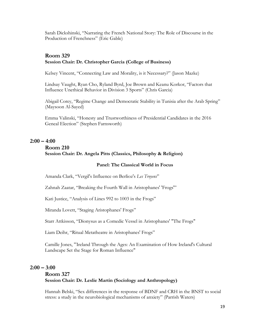Sarah Dickshinski, "Narrating the French National Story: The Role of Discourse in the Production of Frenchness" (Eric Gable)

## **Room 329 Session Chair: Dr. Christopher Garcia (College of Business)**

Kelsey Vincent, "Connecting Law and Morality, is it Necessary?" (Jason Mazke)

Lindsay Vaught, Ryan Cho, Ryland Byrd, Joe Brown and Keanu Korkor, "Factors that Influence Unethical Behavior in Division 3 Sports" (Chris Garcia)

Abigail Corey, "Regime Change and Democratic Stability in Tunisia after the Arab Spring" (Maysoon Al-Sayed)

Emma Valinski, "Honesty and Trustworthiness of Presidential Candidates in the 2016 Geneal Election" (Stephen Farnsworth)

# **2:00 – 4:00**

### **Room 210**

# **Session Chair: Dr. Angela Pitts (Classics, Philosophy & Religion)**

## **Panel: The Classical World in Focus**

Amanda Clark, "Vergil's Influence on Berlioz's *Les Troyens*"

Zahnah Zaatar, "Breaking the Fourth Wall in Aristophanes' 'Frogs'"

Kati Justice, "Analysis of Lines 992 to 1003 in the Frogs"

Miranda Lovett, "Staging Aristophanes' Frogs"

Starr Attkisson, "Dionysus as a Comedic Vessel in Aristophanes' "The Frogs"

Liam Deihr, "Ritual Metatheatre in Aristophanes' Frogs"

Camille Jones, "Ireland Through the Ages: An Examination of How Ireland's Cultural Landscape Set the Stage for Roman Influence"

# **2:00 – 3:00**

# **Room 327 Session Chair: Dr. Leslie Martin (Sociology and Anthropology)**

Hannah Belski, "Sex differences in the response of BDNF and CRH in the BNST to social stress: a study in the neurobiological mechanisms of anxiety" (Parrish Waters)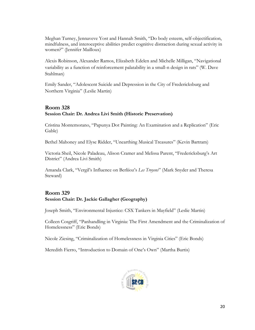Meghan Turney, Jennaveve Yost and Hannah Smith, "Do body esteem, self-objectification, mindfulness, and interoceptive abilities predict cognitive distraction during sexual activity in women?" (Jennifer Mailloux)

Alexis Robinson, Alexander Ramos, Elizabeth Edelen and Michelle Milligan, "Navigational variability as a function of reinforcement palatability in a small-n design in rats" (W. Dave Stahlman)

Emily Sander, "Adolescent Suicide and Depression in the City of Fredericksburg and Northern Virginia" (Leslie Martin)

# **Room 328 Session Chair: Dr. Andrea Livi Smith (Historic Preservation)**

Cristina Montemorano, "Papunya Dot Painting: An Examination and a Replication" (Eric Gable)

Bethel Mahoney and Elyse Ridder, "Unearthing Musical Treasures" (Kevin Bartram)

Victoria Sheil, Nicole Paladeau, Alison Cramer and Melissa Parent, "Fredericksburg's Art District" (Andrea Livi Smith)

Amanda Clark, "Vergil's Influence on Berliioz's *Les Troyens*" (Mark Snyder and Theresa Steward)

# **Room 329 Session Chair: Dr. Jackie Gallagher (Geography)**

Joseph Smith, "Environmental Injustice: CSX Tankers in Mayfield" (Leslie Martin)

Colleen Cosgriff, "Panhandling in Virginia: The First Amendment and the Criminalization of Homelessness" (Eric Bonds)

Nicole Ziesing, "Criminalization of Homelessness in Virginia Cities" (Eric Bonds)

Meredith Fierro, "Introduction to Domain of One's Own" (Martha Burtis)

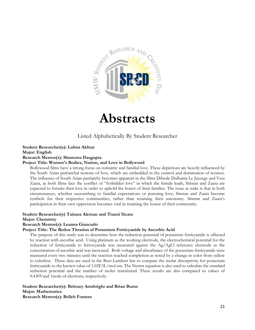

# **Abstracts**

# Listed Alphabetically By Student Researcher

#### **Student Researcher(s): Lubna Akhtar**

**Major: English**

#### **Research Mentor(s): Shumona Dasgupta**

#### **Project Title: Women's Bodies, Nation, and Love in Bollywood**

Bollywood films have a strong focus on romantic and familial love. These depictions are heavily influenced by the South Asian patriarchal notions of love, which are embedded in the control and domination of women. The influence of South Asian patriarchy becomes apparent in the films Dilwale Dulhania Le Jayenge and Veer Zaara, as both films face the conflict of "forbidden love" in which the female leads, Simran and Zaara are expected to forsake their love in order to uphold the honor of their families. The issue at stake is that in both circumstances, whether succumbing to familial expectations or pursuing love, Simran and Zaara become symbols for their respective communities, rather than retaining their autonomy. Simran and Zaara's participation in their own oppression becomes vital in retaining the honor of their community.

#### **Student Researcher(s) Tatiana Aleman and Tianni Sicam**

#### **Major: Chemistry**

#### **Research Mentor(s): Leanna Giancarlo**

#### **Project Title: The Redox Titration of Potassium Ferricyanide by Ascorbic Acid**

The purpose of this study was to determine how the reduction potential of potassium ferricyanide is affected by reaction with ascorbic acid. Using platinum as the working electrode, the electrochemical potential for the reduction of ferricyanide to ferrocyanide was measured against the Ag/AgCl reference electrode as the concentration of ascorbic acid was increased. Both voltage and absorbance of the potassium ferricyanide were measured every two minutes until the reaction reached completion as noted by a change in color from yellow to colorless. These data are used in the Beer-Lambert law to compare the molar absorptivity for potassium ferricyanide to the known value of 1.02E3L/mol cm. The Nernst equation is also used to calculate the standard reduction potential and the number of moles transferred. These results are also compared to values of 0.430Vand 1mole of electrons, respectively.

**Student Researcher(s): Brittany Armbright and Brian Burns Major: Mathematics Research Mentor(s): Belleh Fontem**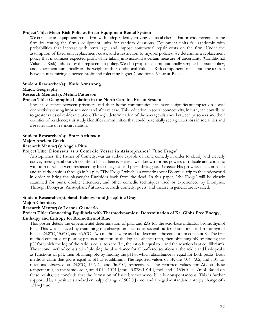#### **Project Title: Mean-Risk Policies for an Equipment Rental System**

We consider an equipment rental firm with independently arriving identical clients that provide revenue to the firm by renting the firm's equipment units for random durations. Equipment units fail randomly with probabilities that increase with rental age, and impose contractual repair costs on the firm. Under the assumption of fixed unit replacement costs, and a restriction to myopic policies, we determine a replacement policy that maximizes expected profit while taking into account a certain measure of uncertainty (Conditional Value- at-Risk) induced by the replacement policy. We also propose a computationally simpler heuristic policy, and experiment numerically on the weight of the Conditional Value-at-Risk component to illustrate the tension between maximizing expected profit and tolerating higher Conditional Value-at-Risk.

#### **Student Researcher(s): Katie Armstrong**

#### **Major: Geography**

#### **Research Mentor(s): Melina Patterson**

#### **Project Title: Geographic Isolation in the North Carolina Prison System**

Physical distance between prisoners and their home communities can have a significant impact on social connectivity during imprisonment and after release. This reduction in social connectivity, in turn, can contribute to greater rates of re-incarceration. Through determination of the average distance between prisoners and their counties of residence, this study identifies communities that could potentially see a greater loss in social ties and a greater rate of re-incarceration.

# **Student Researcher(s): Starr Attkisson**

# **Major: Ancient Greek**

### **Research Mentor(s): Angela Pitts**

### **Project Title: Dionysus as a Comedic Vessel in Aristophanes' "The Frogs"**

Aristophanes, the Father of Comedy, was an author capable of using comedy in order to clearly and cleverly convey messages about Greek life to his audience. He was well known for his powers of ridicule and comedic wit, both of which were respected by his colleagues and peers throughout Greece. His prowess as a comedian and an author shines through in his play "The Frogs," which is a comedy about Dionysus' trip to the underworld in order to bring the playwright Euripides back from the dead. In this paper, "the Frogs" will be closely examined for puns, double entendres, and other comedic techniques used or experienced by Dionysus. Through Dionysus, Aristophanes' attitude towards comedy, poets, and theatre in general are revealed.

#### **Student Researcher(s): Sarah Balenger and Josephine Gray**

#### **Major: Chemistry**

#### **Research Mentor(s): Leanna Giancarlo**

#### **Project Title: Connecting Equilibria with Thermodynamics: Determination of Ka, Gibbs Free Energy, Enthalpy and Entropy for Bromothymol Blue**

This poster details the experimental determination of pKa and ΔG for the acid-base indicator bromothymol blue. This was achieved by examining the absorption spectra of several buffered solutions of bromothymol blue at 24.8°C, 15.6°C, and 36.5°C. Two methods were used to determine the equilibrium constant K. The first method consisted of plotting pH as a function of the log absorbance ratio, then obtaining pK by finding the pH for which the log of the ratio is equal to zero (i.e., the ratio is equal to 1 and the reaction is at equilibrium). The second method consisted of plotting the absorbance for all buffered solutions at the acidic and basic peaks as functions of pH, then obtaining pK by finding the pH at which absorbance is equal for both peaks. Both methods claim that pK is equal to pH at equilibrium. The reported values of pK are 7.04, 7.02, and 7.01 for reactions observed at 24.8°C, 15.6°C, and 36.5°C, respectively. The reported values for  $\Delta G$  at these temperatures, in the same order, are 4.014x10^4 J/mol, 3.878x10^4 J/mol, and 4.153x10^4 J/mol. Based on these results, we conclude that the formation of basic bromothymol blue is nonspontaneous. This is further supported by a positive standard enthalpy change of 902.0 J/mol and a negative standard entropy change of - 131.4 J/mol.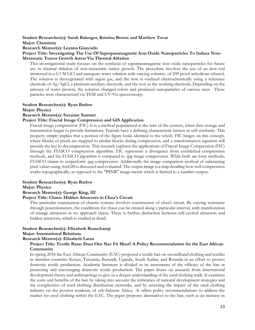#### **Student Researcher(s): Sarah Balenger, Kristina Brown and Matthew Tovar**

**Major: Chemistry**

**Research Mentor(s): Leanna Giancarlo**

#### **Project Title: Investigating The Use Of Superparamagnetic Iron Oxide Nanoparticles To Induce Non-Metastatic Tumor Growth Arrest Via Thermal Ablation**

This investigational study focuses on the synthesis of superparamagnetic iron oxide nanoparticles for future use in thermal ablation of non-metastatic tumor growth. The procedure involves the use of an iron rod immersed in a 0.1 M LiCl and nanopure water solution with varying volumes of 200 proof anhydrous ethanol. The solution is deoxygenated with argon gas, and the iron is oxidized electrochemically using a reference electrode of Ag/AgCl, a platinum auxiliary electrode, and the iron as the working electrode. Depending on the amount of water present, the solution changed colors and produced nanoparticles of various sizes. These particles were characterized via TEM and UV-Vis spectroscopy.

#### **Student Researcher(s): Ryan Barlow**

**Major: Physics**

#### **Research Mentor(s): Suzanne Sumner**

#### **Project Title: Fractal Image Compression and GIS Application**

Fractal image compression (FIC) Is is a method popularized at the turn of the century, when data storage and transmission began to provide limitations. Fractals have a defining characteristic known as self-similarity. This property simply implies that a portion of the figure looks identical to the whole. FIC hinges on this concept, where blocks of pixels are mapped to similar blocks during compression, and a transformation equation will provide the key to decompression. This research explores the applications of Fractal Image Compression (FIC) through the FIASCO compression algorithm. FIC represents a divergence from established compression methods, and the FIASCO algorithm is compared to .jpg image compression. While both are lossy methods, FIASCO claims to outperform .jpg compression. Additionally the image comparison method of subtracting pixel values using ArcGIS is discussed and evaluated. The output image is a map detailing how well compression works topographically, as opposed to the "PSNR" image metric which is limited to a number output.

#### **Student Researcher(s): Ryan Barlow**

#### **Major: Physics**

#### **Research Mentor(s): George King, III**

#### **Project Title: Chaos: Hidden Attractors in Chua's Circuit**

This particular examination of chaotic systems involves construction of chua's circuit. By varying resistance through potentiometers, the conditions for chaos can be created along a particular interval, with manifestation of strange attractors as we approach chaos. There is further distinction between self-excited attractors and hidden attractors, which is studied in detail.

#### **Student Researcher(s): Elizabeth Beauchamp Major: International Relations**

### **Research Mentor(s): Elizabeth Larus**

#### **Project Title: Textile Bans: Does One Size Fit Most? A Policy Recommendation for the East African Community**

In spring 2016 the East African Community (EAC) proposed a textile ban on secondhand clothing and textiles in member countries Kenya, Tanzania, Burundi, Uganda, South Sudan, and Rwanda in an effort to protect domestic textile production. Academic literature is divided in its assessment of the efficacy of the ban in protecting and encouraging domestic textile production. The paper draws on research from international development theory and anthropology to give us a deeper understanding of the used clothing trade. It examines the costs and benefits of the ban by taking into account the intricacies of national development strategies and the complexities of used clothing distribution networks, and by assessing the impact of the used clothing industry on the poorest residents of sub-Saharan Africa. It offers policy recommendations to address the market for used clothing within the EAC. The paper proposes alternatives to the ban, such as an increase in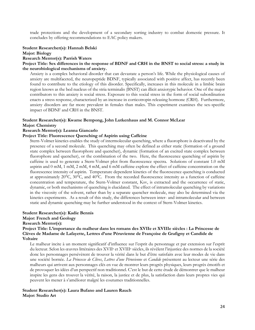trade protections and the development of a secondary sorting industry to combat domestic pressure. It concludes by offering recommendations to EAC policy makers.

#### **Student Researcher(s): Hannah Belski**

**Major: Biology**

#### **Research Mentor(s): Parrish Waters**

**Project Title: Sex differences in the response of BDNF and CRH in the BNST to social stress: a study in the neurobiological mechanisms of anxiety.**

Anxiety is a complex behavioral disorder that can devastate a person's life. While the physiological causes of anxiety are multifaceted, the neuropeptide BDNF, typically associated with positive affect, has recently been found to contribute to the etiology of this disorder. Specifically, increases in this molecule in a limbic brain region knows as the bed nucleus of the stria terminalis (BNST) can illicit anxiotypic behavior. One of the major contributors to this anxiety is social stress. Exposure to this social stress in the form of social subordination enacts a stress response, characterized by an increase in corticotropin releasing hormone (CRH). Furthermore, anxiety disorders are far more prevalent in females than males. This experiment examines the sex-specific impact of BDNF and CRH in the BNST.

# **Student Researcher(s): Kwame Bempong, John Lutkenhaus and M. Connor McLear**

# **Major: Chemistry**

## **Research Mentor(s): Leanna Giancarlo**

#### **Project Title: Fluorescence Quenching of Aspirin using Caffeine**

Stern-Volmer kinetics enables the study of intermolecular quenching, where a fluorophore is deactivated by the presence of a second molecule. This quenching may often be defined as either static (formation of a ground state complex between fluorophore and quencher), dynamic (formation of an excited state complex between fluorophore and quencher), or the combination of the two. Here, the fluorescence quenching of aspirin by caffeine is used to generate a Stern-Volmer plot from fluorescence spectra. Solutions of constant 1.0 mM aspirin and 0 mM, 1 mM, 2 mM, 4 mM, and 6 mM caffeine explore the effect of caffeine concentration on the fluorescence intensity of aspirin. Temperature dependent kinetics of the fluorescence quenching is conducted at approximately 20°C, 30°C, and 40°C. From the recorded fluorescence intensity as a function of caffeine concentration and temperature, the Stern-Volmer constant, Ksv, is extracted and the occurrence of static, dynamic, or both mechanisms of quenching is elucidated. The effect of intramolecular quenching by variations in the viscosity of the solvent, rather than by a separate quencher molecule, may also be determined via the kinetics experiments. As a result of this study, the differences between inter- and intramolecular and between static and dynamic quenching may be further understood in the context of Stern-Volmer kinetics.

#### **Student Researcher(s): Kadie Bennis**

#### **Major: French and Geology**

#### **Research Mentor(s):**

#### **Project Title: L'importance du malheur dans les romans des XVIIe et XVIIIe siècles : La Princesse de Clèves de Madame de Lafayette, Lettres d'une Péruvienne de Françoise de Grafigny et Candide de Voltaire**

Le malheur incite à un moment significatif d'influence sur l'esprit du personnage et par extension sur l'esprit du lecteur. Selon les œuvres littéraires des XVII<sup>e</sup> et XVIII<sup>e</sup> siècles, ils révèlent l'injustice des normes de la société donc les personnages persévèrent de trouver la vérité dans le but d'être satisfaits avec leur modes de vie dans une société bornée. *La Princesse de Clèves*, *Lettres d'une Péruvienne* et *Candide* présentent au lecteur une série des malheurs qui arrivent aux personnages clés en vue de montrer leurs progrès physiques, leurs progrès émotifs et de provoquer les idées d'un perspectif non traditionnel. C'est le but de cette étude de démontrer que le malheur inspire les gens des trouver la vérité, la raison, la justice et de plus, la satisfaction dans leurs propres vies qui peuvent les mener à s'améliorer malgré les coutumes traditionnelles.

#### **Student Researcher(s): Laura Bufano and Lauren Rauch Major: Studio Art**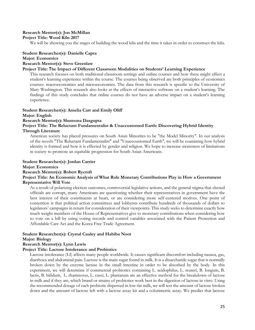#### **Research Mentor(s): Jon McMillan Project Title: Wood Kiln 2017**

We will be showing you the stages of building the wood kiln and the time it takes in order to construct the kiln.

# **Student Researcher(s): Danielle Capra**

#### **Major: Economics**

#### **Research Mentor(s): Steve Greenlaw**

#### **Project Title: The Impact of Different Classroom Modalities on Students' Learning Experience**

This research focuses on both traditional classroom settings and online courses and how these might affect a student's learning experience within the course. The courses being observed are both principles of economics courses: macroeconomics and microeconomics. The data from this research is specific to the University of Mary Washington. This research also looks at the effects of interactive software on a student's learning. The findings of this study concludes that online courses do not have an adverse impact on a student's learning experience.

#### **Student Researcher(s): Amelia Carr and Emily Oliff**

#### **Major: English**

#### **Research Mentor(s): Shumona Dasgupta**

#### **Project Title: The Reluctant Fundamentalist & Unaccustomed Earth: Discovering Hybrid Identity Through Literature**

American society has placed pressures on South Asian Minorites to be "the Model Minority". In our analysis of the novels "The Reluctant Fundamentalist" and "Unaccoustomed Earth", we will be examining how hybrid identity is formed and how it is effected by gender and religion. We hope to increase awareness of limitations in society to promote an equitable progression for South Asian Americans.

#### **Student Researcher(s): Jordan Carrier Major: Economics Research Mentor(s): Robert Rycroft Project Title: An Economic Analysis of What Role Monetary Contributions Play in How a Government Representative Will Vote**

As a result of polarizing election outcomes, controversial legislative actions, and the general stigma that elected officials are corrupt, many Americans are questioning whether their representatives in government have the best interest of their constituents at heart, or are considering more self-centered motives. One point of contention is that political action committees and lobbyists contribute hundreds of thousands of dollars to legislators' campaigns in return for consideration of their viewpoints. This study seeks to determine exactly how much weight members of the House of Representatives give to monetary contributions when considering how to vote on a bill by using voting records and control variables associated with the Patient Protection and Affordable Care Act and the Korea Free Trade Agreement.

# **Student Researcher(s): Crystal Cauley and Habiba Noor**

#### **Major: Biology**

### **Research Mentor(s): Lynn Lewis**

#### **Project Title: Lactose Intolerance and Probiotics**

Lactose intolerance (LI) affects many people worldwide. It causes significant discomfort including nausea, gas, diarrhoea and abdominal pain. Lactose is the main sugar found in milk. It is a disaccharide sugar that is normally broken down by the enzyme lactase in the small intestine in order to be absorbed by the body. In this experiment, we will determine if commercial probiotics containing L. acidophilus, L. reuteri, B. longum, B. lactis, B. bifidum, L. rhamnosus, L. casei, L. plantarum are an effective method for the breakdown of lactose in milk and if they are, which brand or strains of probiotics work best in the digestion of lactose in vitro. Using the recommended dosage of each probiotic dispersed in low-fat milk, we will test the amount of lactose broken down and the amount of lactose left with a lactose assay kit and a colorimetric assay. We predict that lactose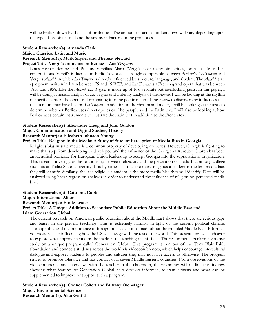will be broken down by the use of probiotics. The amount of lactose broken down will vary depending upon the type of probiotic used and the strains of bacteria in the probiotics.

#### **Student Researcher(s): Amanda Clark**

**Major: Classics: Latin and Music**

#### **Research Mentor(s): Mark Snyder and Theresa Steward**

#### **Project Title: Vergil's Influence on Berlioz's Les Troyens**

Louis-Hector Berlioz and Publius Vergilius Maro (Vergil) have many similarities, both in life and in compositions. Vergil's influence on Berlioz's works is strongly comparable between Berlioz's *Les Troyens* and Vergil's *Aeneid*, in which *Les Troyens* is directly influenced by structure, language, and rhythm. The *Aeneid* is an epic poem, written in Latin between 29 and 19 BCE, and *Les Troyens* is a French grand opera that was between 1856 and 1858. Like the *Aeneid*, *Les Troyens* is made up of two separate but interlocking parts. In this paper, I will be doing a musical analysis of *Les Troyens* and a literary analysis of the *Aeneid*. I will be looking at the rhythm of specific parts in the opera and comparing it to the poetic meter of the *Aeneid* to discover any influences that the literature may have had on *Les Troyens*. In addition to the rhythm and meter, I will be looking at the texts to determine whether Berlioz uses direct quotes or if he paraphrased the Latin text. I will also be looking at how Berlioz uses certain instruments to illustrate the Latin text in addition to the French text.

#### **Student Researcher(s): Alexander Clegg and John Guidon Major: Communication and Digital Studies, History Research Mentor(s): Elizabeth Johnson-Young**

#### **Project Title: Religion in the Media: A Study of Student Perception of Media Bias in Georgia**

Religious bias in state media is a common property of developing countries. However, Georgia is fighting to make that step from developing to developed and the influence of the Georgian Orthodox Church has been an identified barricade for European Union leadership to accept Georgia into the supranational organization. This research investigates the relationship between religiosity and the perception of media bias among college students at Tbilisi State University. It is hypothesized that the more religious a student is the less media bias they will identify. Similarly, the less religious a student is the more media bias they will identify. Data will be analyzed using linear regression analyses in order to understand the influence of religion on perceived media bias.

#### **Student Researcher(s): Caitriona Cobb Major: International Affairs Research Mentor(s): Emile Lester Project Title: A Unique Addition to Secondary Public Education About the Middle East and Islam:Generation Global**

The current research on American public education about the Middle East shows that there are serious gaps and biases in the present teachings. This is extremely harmful in light of the current political climate, Islamophobia, and the importance of foreign policy decisions made about the troubled Middle East. Informed voters are vital to influencing how the US will engage with the rest of the world. This presentation will endeavor to explore what improvements can be made in the teaching of this field. The researcher is performing a case study on a unique program called Generation Global. This program is run out of the Tony Blair Faith Foundation and connects students across the world via videoconferences, which helps encourage intercultural dialogue and exposes students to peoples and cultures they may not have access to otherwise. The program strives to promote tolerance and has contact with seven Middle Eastern countries. From observations of the videoconference and interviews with the teacher in the classroom, the researcher will outline the findings showing what features of Generation Global help develop informed, tolerant citizens and what can be supplemented to improve or support such a program.

**Student Researcher(s): Connor Collett and Brittany Olenslager Major: Environmental Science Research Mentor(s): Alan Griffith**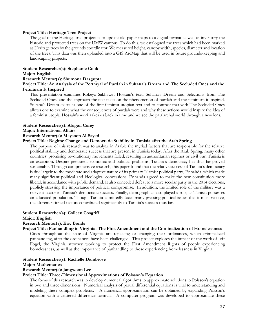#### **Project Title: Heritage Tree Project**

The goal of the Heritage tree project is to update old paper maps to a digital format as well as inventory the historic and protected trees on the UMW campus. To do this, we catalogued the trees which had been marked as Heritage trees by the grounds coordinator. We measured height, canopy width, species, diameter and location of the trees. This data was then uploaded into a GIS ArcMap that will be used in future grounds-keeping and landscaping projects.

#### **Student Researcher(s): Stephanie Cook**

#### **Major: English**

#### **Research Mentor(s): Shumona Dasgupta**

#### **Project Title: An Analysis of the Portrayal of Purdah in Sultana's Dream and The Secluded Ones and the Feminism It Inspired**

This presentation examines Rokeya Sakhawat Hossain's text, Sultana's Dream and Selections from The Secluded Ones, and the approach the text takes on the phenomenon of purdah and the feminism it inspired. Sultana's Dream exists as one of the first feminist utopian text and to contrast that with The Secluded Ones allows one to examine what the consequences of purdah were and why these actions would inspire the idea of a feminist utopia. Hossain's work takes us back in time and we see the patriarchal world through a new lens.

#### **Student Researcher(s): Abigail Corey Major: International Affairs**

# **Research Mentor(s): Maysoon Al-Sayed**

#### **Project Title: Regime Change and Democratic Stability in Tunisia after the Arab Spring**

The purpose of this research was to analyze in Arabic the myriad factors that are responsible for the relative political stability and democratic success that are present in Tunisia today. After the Arab Spring, many other countries' promising revolutionary movements failed, resulting in authoritarian regimes or civil war. Tunisia is an exception. Despite persistent economic and political problems, Tunisia's democracy has thus far proved sustainable. Through comprehensive research, this paper found that the relative success of Tunisia's democracy is due largely to the moderate and adaptive nature of its primary Islamist political party, Ennahda, which made many significant political and ideological concessions. Ennahda agreed to make the new constitution more liberal, in accordance with public demand. It also conceded defeat to a more secular party in the 2014 elections, publicly stressing the importance of political compromise. In addition, the limited role of the military was a relevant factor in Tunisia's democratic success. Finally, demographics also played a role, as Tunisia possesses an educated population. Though Tunisia admittedly faces many pressing political issues that it must resolve, the aforementioned factors contributed significantly to Tunisia's success thus far.

#### **Student Researcher(s): Colleen Cosgriff**

#### **Major: English**

#### **Research Mentor(s): Eric Bonds**

#### **Project Title: Panhandling in Virginia: The First Amendment and the Criminalization of Homelessness**

Cities throughout the state of Virginia are repealing or changing their ordinances, which criminalized panhandling, after the ordinances have been challenged. This project explores the impact of the work of Jeff Fogel, the Virginia attorney working to protect the First Amendment Rights of people experiencing homelessness, as well as the importance of panhandling to those experiencing homelessness in Virginia.

#### **Student Researcher(s): Rachelle Dambrose**

#### **Major: Mathematics**

#### **Research Mentor(s): Jangwoon Lee**

#### **Project Title: Three-Dimensional Approximations of Poisson's Equation**

The focus of this research was to develop numerical algorithms to approximate solutions to Poisson's equation in two and three dimensions. Numerical analysis of partial differential equations is vital to understanding and modeling these complex problems. A numerical approximation can be obtained by expanding Poisson's equation with a centered difference formula. A computer program was developed to approximate these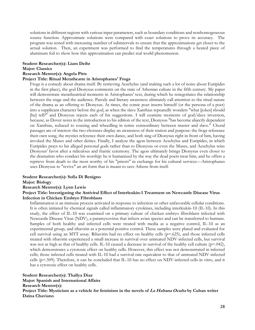solutions in different regions with various input parameters, such as boundary conditions and nonhomogeneous source function. Approximate solutions were compared with exact solutions to prove its accuracy. The program was tested with increasing number of subintervals to ensure that the approximations get closer to the actual solution. Then, an experiment was performed to find the temperatures through a heated piece of aluminum foil to show how this approximation can predict real world phenomenon.

#### **Student Researcher(s): Liam Deihr**

#### **Major: Classics**

#### **Research Mentor(s): Angela Pitts**

#### **Project Title: Ritual Metatheatre in Aristophanes' Frogs**

Frogs is a comedy about drama itself. By retrieving Aeschylus (and making such a lot of noise about Euripides in the first place), the god Dionysus comments on the state of Athenian culture in the fifth century. My paper will demonstrate metatheatrical moments in Aristophanes' text, during which he renegotiates the relationship between the stage and the audience. Parody and literary awareness ultimately call attention to the ritual nature of the drama as an offering to Dionysus. At times, the comic poet inserts himself (or the persona of a poet) into a supplicant character before the god, as when the slave Xanthias repeatedly wonders "what [jokes] should [he] tell?" and Dionysus rejects each of his suggestions. I will examine moments of god/slave inversion, because, as Dover notes in the introduction to his edition of the text, Dionysus "has become abjectly dependent on Xanthias, reduced to coaxing and wheedling in terms extraordinary between master and slave." Choral passages are of interest: the two choruses display an awareness of their station and purpose: the frogs reference their own song, the mystics reference their own dance, and both sing of Dionysus right in front of him, having invoked the Muses and other deities. Finally, I analyze the agon between Aeschylus and Euripides, in which Euripides prays to his alleged personal gods rather than to Dionysus or even the Muses, and Aeschylus wins Dionysus' favor after a ridiculous and frantic ceremony. The agon ultimately brings Dionysus even closer to the dramatists who conduct his worship: he is humanized by the way the dead poets treat him, and he offers a reprieve from death to the most worthy of his "priests" in exchange for his cultural services—Aristophanes uses Dionysus to "revive" an art form that is meant to save Athens from itself.

#### **Student Researcher(s): Sofia Di Benigno**

#### **Major: Biology**

#### **Research Mentor(s): Lynn Lewis**

#### **Project Title: Investigating the Antiviral Effect of Interleukin-1 Treatment on Newcastle Disease Virus Infection in Chicken Embryo Fibroblasts**

Inflammation is an immune process activated in response to infection or other unfavorable cellular conditions. It is often initiated by chemical signals called inflammatory cytokines, including interleukin-1ß (IL-1ß). In this study, the effect of IL-1ß was examined on a primary culture of chicken embryo fibroblasts infected with Newcastle Disease Virus (NDV), a paramyxovirus that infects avian species and can be transferred to humans. Samples of both healthy and infected cells were treated with media as a negative control, IL-1ß as an experimental group, and ribavirin as a potential positive control. These samples were plated and evaluated for cell survival using an MTT assay. Ribavirin had no effect on healthy cells (p=.625), and those infected cells treated with ribavirin experienced a small increase in survival over untreated NDV-infected cells, but survival was not as high as that of healthy cells. IL-1B caused a decrease in survival of the healthy cell culture ( $p=0.042$ ), which demonstrates a cytotoxic effect on healthy cells. However, this effect was not demonstrated in infected cells; those infected cells treated with IL-1ß had a survival rate equivalent to that of untreated NDV-infected cells (p=.509). Therefore, it can be concluded that IL-1ß has no effect on NDV-infected cells in vitro, and it has a cytotoxic effect on healthy cells.

**Student Researcher(s): Thallya Diaz Major: Spanish and International Affairs Research Mentor(s): Project Title: Mysticism as a vehicle for feminism in the novels of La Habana Oculta by Cuban writer Daína Chaviano**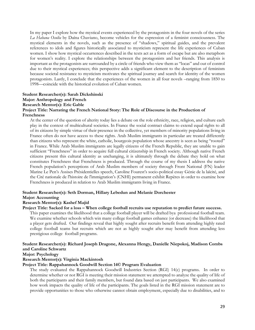In my paper I explore how the mystical events experienced by the protagonists in the four novels of the series *La Habana Oculta* by Daína Chaviano, become vehicles for the expression of a feminist consciousness. The mystical elements in the novels, such as the presence of "shadows," spiritual guides, and the prevalent references to idols and figures historically associated to mysticism represent the life experiences of Cuban women. I show how mystical occurrences described in the texts act as a form of escape but are also metaphors for women's reality. I explore the relationships between the protagonists and her friends. This analysis is important as the protagonists are surrounded by a circle of friends who view them as "locas" and out of control due to their mystical experiences; this perspective adds a significant element to the description of feminism because societal resistance to mysticism motivates the spiritual journey and search for identity of the women protagonists. Lastly, I conclude that the experiences of the women in all four novels –ranging from 1850 to 1998—coincide with the historical evolution of Cuban women.

#### **Student Researcher(s): Sarah Dickshinski Major: Anthropology and French Research Mentor(s): Eric Gable Project Title: Narrating the French National Story: The Role of Discourse in the Production of Frenchness**

At the center of the question of alterity today lies a debate on the role ethnicity, race, religion, and culture each play in the context of multicultural societies. In France the social contract claims to extend equal rights to all of its citizens by simple virtue of their presence in the collective, yet members of minority populations living in France often do not have access to these rights. Arab Muslim immigrants in particular are treated differently than citizens who represent the white, catholic, bourgeois population whose ancestry is seen as being "rooted" in France. While Arab Muslim immigrants are legally citizens of the French Republic, they are unable to gain sufficient "Frenchness" in order to acquire full cultural citizenship in French society. Although native French citizens present this cultural identity as unchanging, it is ultimately through the debate they hold on what constitutes Frenchness that Frenchness is produced. Through the course of my thesis I address the native French population's perceptions of Arab Muslim members of society through Front National (FN) leader Marine Le Pen's Assises Présidentielles speech, Caroline Fourest's socio-political essay Génie de la laïcité, and the Cité nationale de l'histoire de l'immigration's (CNHI) permanent exhibit Repères in order to examine how Frenchness is produced in relation to Arab Muslim immigrants living in France.

#### **Student Researcher(s): Seth Dorman, Hillary Lebedun and Melanie Dorchester**

#### **Major: Accounting**

#### **Research Mentor(s): Kashef Majid**

#### **Project Title: Sacked for a loss – When college football recruits use reputation to predict future success.**

This paper examines the likelihood that a college football player will be drafted bya professional football team. We examine whether schools which win many college football games enhance (or decrease) the likelihood that a player gets drafted. Our findings reveal that highly sought after recruits benefit from attending highly rated college football teams but recruits which are not as highly sought after may benefit from attending less prestigious college football programs.

#### **Student Researcher(s): Richard Joseph Dragone, Alexanna Hengy, Danielle Niepokoj, Madison Combs and Caroline Schwartz**

**Major: Psychology**

#### **Research Mentor(s): Virginia Mackintosh**

#### **Project Title: Rappahannock Goodwill Section 14© Program Evaluation**

The study evaluated the Rappahannock Goodwill Industries Section (RGI) 14(c) programs. In order to determine whether or not RGI is meeting their mission statement we attempted to analyze the quality of life of both the participants and their family members, but found data based on just participants. We also examined how work impacts the quality of life of the participants. The goals listed in the RGI mission statement are to provide opportunities to those who otherwise cannot obtain employment, especially due to disabilities, and to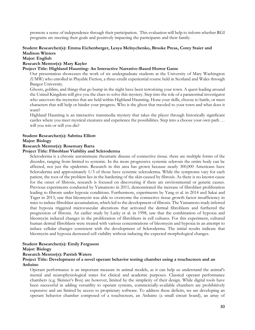promote a sense of independence through their participation. This evaluation will help to inform whether RGI programs are meeting their goals and positively impacting the participants and their family.

#### **Student Researcher(s): Emma Eichenberger, Lesya Melnychenko, Brooke Preas, Corey Staier and Madison Winters**

#### **Major: English**

#### **Research Mentor(s): Mary Kayler**

#### **Project Title: Highland Haunting- An Interactive Narrative-Based Horror Game**

Our presentation showcases the work of six undergraduate students at the University of Mary Washington (UMW) who enrolled in Playable Fiction, a three-credit experiential course held in Scotland and Wales through Bangor University.

Ghosts, goblins, and things that go bump in the night have been terrorizing your town. A quest leading around the United Kingdom will give you the clues to solve this mystery. Step into the role of a paranormal investigator who uncovers the mysteries that are held within Highland Haunting. Hone your skills, choose to battle, or meet characters that will help or hinder your progress. Who is the ghost that traveled to your town and what does it want?

Highland Haunting is an interactive transmedia mystery that takes the player through historically significant castles where you meet mystical creatures and experience the possibilities. Step into a choose your own path … will you win or will you die?

#### **Student Researcher(s): Sabrina Elliott**

#### **Major: Biology**

#### **Research Mentor(s): Rosemary Barra**

#### **Project Title: Fibroblast Viability and Scleroderma**

Scleroderma is a chronic autoimmune rheumatic disease of connective tissue. there are multiple forms of the disorder, ranging from limited to systemic. In the more progressive systemic sclerosis the entire body can be affected, not just the epidermis. Research in this area has grown because nearly 300,000 Americans have Scleroderma and approximately 1/3 of those have systemic scleroderma. While the symptoms vary for each patient, the root of the problem lies in the hardening of the skin caused by fibrosis. As there is no known cause for the onset of fibrosis, research is focused on discovering if there are environmental or genetic causes. Previous experiments conducted by Yamamoto in 2011, demonstrated the increase of fibroblast proliferation leading to fibrosis under hypoxic conditions. Furthermore, experiments by Yang et al. in 2014 and Sakai and Tager in 2013, saw that bleomycin was able to overcome the connective tissue growth factor insufficiency in mice to induce fibroblast accumulation, which led to the development of fibrosis. The Yamamoto study inferred that hypoxia triggered microvascular alterations that activated the dermal fibroblasts and furthered the progression of fibrosis. An earlier study by Lasky et al. in 1998, saw that the combination of hypoxia and bleomycin induced changes in the proliferation of fibroblasts in cell cultures. For this experiment, cultured human dermal fibroblasts were treated with various concentrations of bleomycin and hypoxia in an attempt to induce cellular changes consistent with the development of Scleroderma. The initial results indicate that bleomycin and hypoxia decreased cell viability without inducing the expected morphological changes.

#### **Student Researcher(s): Emily Ferguson**

#### **Major: Biology**

#### **Research Mentor(s): Parrish Waters**

#### **Project Title: Development of a novel operant behavior testing chamber using a touchscreen and an Arduino**

Operant performance is an important measure in animal models, as it can help us understand the animal's mental and neurophysiological states for clinical and academic purposes. Classical operant performance chambers (e.g. Skinner's Box) are however, limited by the simplicity of their design. While digital tools have been successful in adding versatility to operant systems, commercially-available chambers are prohibitively expensive and are limited by access to proprietary software. To address these deficits, we are developing an operant behavior chamber composed of a touchscreen, an Arduino (a small circuit board), an array of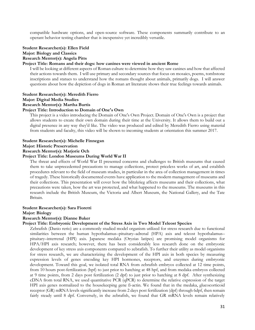compatible hardware options, and open-source software. These components summarily contribute to an operant behavior testing chamber that is inexpensive yet incredibly versatile.

#### **Student Researcher(s): Ellen Field Major: Biology and Classics Research Mentor(s): Angela Pitts**

#### **Project Title: Romans and their dogs: how canines were viewed in ancient Rome**

I will be looking at different aspects of Roman culture to determine how they saw canines and how that affected their actions towards them. I will use primary and secondary sources that focus on mosaics, poems, tombstone inscriptions and statues to understand how the romans thought about animals, primarily dogs. I will answer questions about how the depiction of dogs in Roman art literature shows their true feelings towards animals.

## **Student Researcher(s): Meredith Fierro Major: Digital Media Studies Research Mentor(s): Martha Burtis**

# **Project Title: Introduction to Domain of One's Own**

This project is a video introducing the Domain of One's Own Project. Domain of One's Own is a project that allows students to create their own domain during their time at the University. It allows them to build out a digital presence in any way they'd like. The video was produced and edited by Meredith Fierro using material from students and faculty, this video will be shown to incoming students at orientation this summer 2017.

#### **Student Researcher(s): Michelle Finnegan**

#### **Major: Historic Preservation**

#### **Research Mentor(s): Marjorie Och**

#### **Project Title: London Museums During World War II**

The threat and effects of World War II presented concerns and challenges to British museums that caused them to take unprecedented precautions to manage collections, protect priceless works of art, and establish procedures relevant to the field of museum studies, in particular in the area of collection management in times of tragedy. These historically documented events have application to the modern management of museums and their collections. This presentation will cover how the blitzkrieg affects museums and their collections, what precautions were taken, how the art was protected, and what happened to the museums. The museums in this research include the British Museum, the Victoria and Albert Museum, the National Gallery, and the Tate Britain.

#### **Student Researcher(s): Sara Fioretti**

#### **Major: Biology**

#### **Research Mentor(s): Dianne Baker**

#### **Project Title: Embryonic Development of the Stress Axis in Two Model Teleost Species**

Zebrafish (Danio rerio) are a commonly studied model organism utilized for stress research due to functional similarities between the human hypothalamus-pituitary-adrenal (HPA) axis and teleost hypothalamuspituitary–interrenal (HPI) axis. Japanese medaka (Oryzias latipes) are promising model organisms for HPA/HPI axis research; however, there has been considerably less research done on the embryonic development of key stress axis components compared to zebrafish. To further their utility as model organisms for stress research, we are characterizing the development of the HPI axis in both species by measuring expression levels of genes encoding key HPI hormones, receptors, and enzymes during embryonic development. Toward this goal, we isolated total RNA from zebrafish embryos collected at 12 time points, from 10 hours post-fertilization (hpf) to just prior to hatching at 48 hpf, and from medaka embryos collected at 9 time points, from 2 days post fertilization (2 dpf) to just prior to hatching at 8 dpf. After synthesizing cDNA from total RNA, we used quantitative PCR (qPCR) to determine the relative expression of the target HPI axis genes normalized to the housekeeping gene ß-actin. We found that in the medaka, glucocorticoid receptor (GR) mRNA levels significantly increase from 2 days post fertilization (dpf) through 6dpf, then remain fairly steady until 8 dpf. Conversely, in the zebrafish, we found that GR mRNA levels remain relatively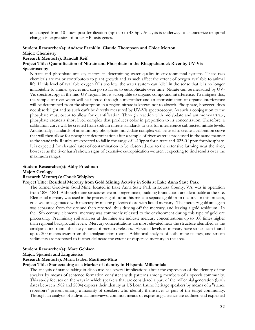unchanged from 10 hours post fertilization (hpf) up to 48 hpf. Analysis is underway to characterize temporal changes in expression of other HPI axis genes.

# **Student Researcher(s): Andrew Franklin, Claude Thompson and Chloe Morton**

### **Major: Chemistry**

#### **Research Mentor(s): Randall Reif**

#### **Project Title: Quantification of Nitrate and Phosphate in the Rhappahanock River by UV-Vis Spectroscopy**

Nitrate and phosphate are key factors in determining water quality in environmental systems. These two chemicals are major contributors to plant growth and as such affect the extent of oxygen available to animal life. If this level of available oxygen falls too low, the water system can "die" in the sense that it is no longer inhabitable to animal species and can go so far as to eutrophicate over time. Nitrate can be measured by UV-Vis spectroscopy in the mid-UV region, but is susceptible to organic compound interference. To mitigate this, the sample of river water will be filtered through a microfilter and an approximation of organic interference will be determined from the absorption in a region nitrate is known not to absorb. Phosphate, however, does not absorb light and as such can't be directly measured by UV-Vis spectroscopy. As such a conjugation to the phosphate must occur to allow for quantification. Through reaction with molybdate and antimony-tartrate, phosphate creates a short lived complex that produces color in preportion to its concentration. Therefore, a calibration curve will be created from sodium nitrate standards to test for interference subtracted nitrate levels. Additionally, standards of an antimony-phosphate-molybdate complex will be used to create a calibration curve that will then allow for phosphate determination after a sample of river water is processed in the same manner as the standards. Results are expected to fall in the range of 1-10ppm for nitrate and .025-0.1ppm for phosphate. It is expected for elevated rates of contamination to be observed due to the extensive farming near the river, however as the river hasn't shown signs of extensive eutrophication we aren't expecting to find results over the maximum ranges.

# **Student Researcher(s): Abby Friedman**

#### **Major: Geology**

#### **Research Mentor(s): Chuck Whipkey**

#### **Project Title: Residual Mercury from Gold Mining Activity in Soils at Lake Anna State Park**

The former Goodwin Gold Mine, located in Lake Anna State Park in Louisa County, VA, was in operation from 1880-1881. Although mine structures are no longer intact, building foundations are identifiable at the site. Elemental mercury was used in the processing of ore at this mine to separate gold from the ore. In this process, gold was amalgamated with mercury by mixing pulverized ore with liquid mercury. The mercury-gold amalgam was separated from the ore and then retorted, thus driving off the mercury, and leaving a gold residuum. In the 19th century, elemental mercury was commonly released to the environment during this type of gold ore processing. Preliminary soil analyses at the mine site indicate mercury concentrations up to 100 times higher than regional background levels. Mercury concentrations are most elevated near the structure identified as the amalgamation room, the likely source of mercury releases. Elevated levels of mercury have so far been found up to 200 meters away from the amalgamation room. Additional analysis of soils, mine tailings, and stream sediments are proposed to further delineate the extent of dispersed mercury in the area.

#### **Student Researcher(s): Marc Gehlsen**

#### **Major: Spanish and Linguistics**

#### **Research Mentor(s): María Isabel Martínez-Mira**

#### **Project Title: Stancetaking as a Marker of Identity in Hispanic Millennials**

The analysis of stance taking in discourse has several implications about the expression of the identity of the speaker by means of sentence formation consistent with patterns among members of a speech community. This study focuses on the ways in which speakers that are considered a part of the millennial generation (birth dates between 1982 and 2004) express their identity as US born Latino heritage speakers by means of a "stance repertoire" present among a majority of speakers who identify themselves as part of the target community. Through an analysis of individual interviews, common means of expressing a stance are outlined and explained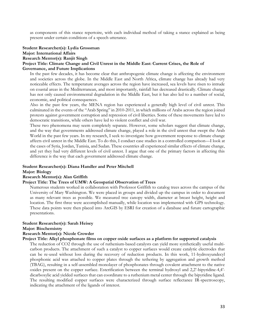as components of this stance repertoire, with each individual method of taking a stance explained as being present under certain conditions of a speech utterance.

#### **Student Researcher(s): Lydia Grossman**

#### **Major: International Affairs**

#### **Research Mentor(s): Ranjit Singh**

#### **Project Title: Climate Change and Civil Unrest in the Middle East: Current Crises, the Role of Governance, and Future Implications**

In the past few decades, it has become clear that anthropogenic climate change is affecting the environment and societies across the globe. In the Middle East and North Africa, climate change has already had very noticeable effects. The temperature averages across the region have increased, sea levels have risen to intrude on coastal areas in the Mediterranean, and most importantly, rainfall has decreased drastically. Climate change has not only caused environmental degradation in the Middle East, but it has also led to a number of social, economic, and political consequences.

Also in the past few years, the MENA region has experienced a generally high level of civil unrest. This culminated in the events of the "Arab Spring" in 2010-2011, in which millions of Arabs across the region joined protests against government corruption and repression of civil liberties. Some of these movements have led to democratic transitions, while others have led to violent conflict and civil war.

These two phenomena may seem completely separate. However, some scholars suggest that climate change, and the way that governments addressed climate change, played a role in the civil unrest that swept the Arab World in the past few years. In my research, I seek to investigate how government response to climate change affects civil unrest in the Middle East. To do this, I conduct case studies in a controlled comparison—I look at the cases of Syria, Jordan, Tunisia, and Sudan. These countries all experienced similar effects of climate change, and yet they had very different levels of civil unrest. I argue that one of the primary factors in affecting this difference is the way that each government addressed climate change.

#### **Student Researcher(s): Diana Handler and Peter Mitchell**

#### **Major: Biology**

#### **Research Mentor(s): Alan Griffith**

#### **Project Title: The Trees of UMW: A Geospatial Observation of Trees**

Numerous students worked in collaboration with Professor Griffith to catalog trees across the campus of the University of Mary Washington. We were placed in groups and divided up the campus in order to document as many relevant trees as possible. We measured tree canopy width, diameter at breast height, height and location. The first three were accomplished manually, while location was implemented with GPS technology. These data points were then placed into ArcGIS by ESRI for creation of a database and future cartographic presentations.

#### **Student Researcher(s): Sarah Heisey**

**Major: Biochemistry**

#### **Research Mentor(s): Nicole Crowder**

#### **Project Title: Alkyl phosphonate films on copper oxide surfaces as a platform for supported catalysis**

The reduction of CO2 through the use of ruthenium-based catalysts can yield more synthetically useful multicarbon products. The attachment of such a catalyst to copper surfaces would create catalytic electrodes that can be re-used without loss during the recovery of reduction products. In this work, 11-hydroxyundecyl phosphonic acid was attached to copper plates through the tethering by aggregation and growth method (TBAG), resulting in a self-assembled monolayer of phosphonates through covalent attachment to the native oxides present on the copper surface. Esterification between the terminal hydroxyl and 2,2'-bipyridine-4,4' dicarboxylic acid yielded surfaces that can coordinate to a ruthenium metal center through the bipyridine ligand. The resulting modified copper surfaces were characterized through surface reflectance IR-spectroscopy, indicating the attachment of the ligands of interest.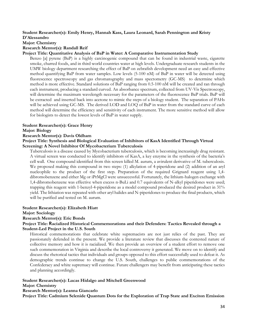#### **Student Researcher(s): Emily Henry, Hannah Kass, Laura Leonard, Sarah Pennington and Kristy D'Alessandro**

**Major: Chemistry**

#### **Research Mentor(s): Randall Reif**

#### **Project Title: Quantitative Analysis of BaP in Water: A Comparative Instrumentation Study**

Benzo [a] pyrene (BaP) is a highly carcinogenic compound that can be found in industrial waste, cigarette smoke, charred foods, and in third world countries water at high levels. Undergraduate research students in the UMW biology department researching the effect of BaP on zebrafish development need an easy and effective method quantifying BaP from water samples. Low levels (5-100 nM) of BaP in water will be detected using fluorescence spectroscopy and gas chromatography and mass spectometry (GC-MS) to determine which method is more effective. Standard solutions of BaP ranging from 0.5-100 nM will be created and ran through each instrument, producing a standard curved. An absorbance spectrum, collected from UV-Vis Spectroscopy, will determine the maximum wavelength necessary for the parameters of the fluorescence BaP trials. BaP will be extracted and inserted back into acetone to mimic the steps of a biology student. The separation of PAHs will be achieved using GC-MS. The derived LOD and LOQ of BaP in water from the standard curve of each method will determine the efficiency and sensitivity of each instrument. The more sensitive method will allow for biologists to detect the lowest levels of BaP in water supply.

#### **Student Researcher(s): Grace Henry**

#### **Major: Biology**

#### **Research Mentor(s): Davis Oldham**

#### **Project Title: Synthesis and Biological Evaluation of Inhibitors of KasA Identified Through Virtual Screening: A Novel Inhibitor Of Mycobacterium Tuberculosis**

Tuberculosis is a disease caused by Mycobacterium tuberculosis, which is becoming increasingly drug resistant. A virtual screen was conducted to identify inhibitors of KasA, a key enzyme in the synthesis of the bacteria's cell wall. One compound identified from this screen killed M. aurum, a avirulent derivative of M. tuberculosis. We proposed making this compound in two steps: (1) alkylation of 4-piperidone and (2) addition of an aryl nucleophile to the product of the first step. Preparation of the required Grignard reagent using 1,4 dibromobenzene and either Mg or iPrMgCl were unsuccessful. Fortunately, the lithium-halogen exchange with 1,4-dibromobenzene was effective when excess n-BuLi and 0.7 equivalents of N-alkyl piperidones were used; trapping this reagent with 1-benzyl-4-piperidone as a model compound produced the desired product in 31% yield. The lithiation was repeated with other aryl halides and N-piperidones to produce the final products, which will be purified and tested on M. aurum.

#### **Student Researcher(s): Elizabeth Hiatt**

#### **Major: Sociology**

#### **Research Mentor(s): Eric Bonds**

#### **Project Title: Racialized Historical Commemorations and their Defenders: Tactics Revealed through a Student-Led Project in the U.S. South**

Historical commemorations that celebrate white supremacists are not just relics of the past. They are passionately defended in the present. We provide a literature review that discusses the contested nature of collective memory and how it is racialized. We then provide an overview of a student effort to remove one such commemoration in Virginia and describe the local controversy it generated. We move on to identify and discuss the rhetorical tactics that individuals and groups opposed to this effort successfully used to defeat it. As demographic trends continue to change the U.S. South, challenges to public commemorations of the Confederacy and white supremacy will continue. Future challengers may benefit from anticipating these tactics and planning accordingly.

#### **Student Researcher(s): Lucas Hidalgo and Mitchell Greenwood**

#### **Major: Chemistry**

#### **Research Mentor(s): Leanna Giancarlo**

**Project Title: Cadmium Selenide Quantum Dots for the Exploration of Trap State and Exciton Emission**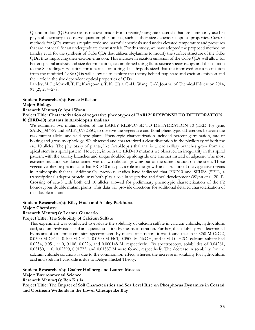Quantum dots (QDs) are nanostructures made from organic/inorganic materials that are commonly used in physical chemistry to observe quantum phenomena, such as their size-dependent optical properties. Current methods for QDs synthesis require toxic and harmful chemicals used under elevated temperature and pressures that are not ideal for an undergraduate chemistry lab. For this study, we have adopted the proposed method by Landry et al. for the synthesis of CdSe QDs that utilizes oleylamine to modify the surface structure of the CdSe QDs, thus improving their exciton emission. This increase in exciton emission of the CdSe QDs will allow for better spectral analysis and size determination, accomplished using fluorescence spectroscopy and the solution to the Schrodinger Equation for a particle on a ring. It is hypothesized that the improved exciton emission from the modified CdSe QDs will allow us to explore the theory behind trap-state and exciton emission and their role in the size dependent optical properties of QDs.

Landry, M. L.; Morrell, T. E.; Karagounis, T. K.; Hsia, C.-H.; Wang, C.-Y. Journal of Chemical Education 2014, 91 (2), 274–279.

#### **Student Researcher(s): Renee Hilelson**

#### **Major: Biology**

#### **Research Mentor(s): April Wynn**

#### **Project Title: Characterization of vegetative phenotypes of EARLY RESPONSE TO DEHYDRATION 10 (ERD-10) mutants in Arabidopsis thaliana**

We examined two mutant alleles of the EARLY RESPONSE TO DEHYDRATION 10 (ERD 10) gene, SALK\_087789 and SALK\_097255C, to observe the vegetative and floral phenotypic differences between the two mutant alleles and wild type plants. Phenotypic characterization included percent germination, rate of bolting and gross morphology. We observed and characterized a clear disruption in the phyllotaxy of both the erd 10 alleles. The phyllotaxy of plants, like Arabidopsis thaliana. is where axillary branches grow from the apical stem in a spiral pattern. However, in both the ERD-10 mutants we observed an irregularity in this spiral pattern; with the axillary branches and silique doubled up alongside one another instead of adjacent. The most extreme mutation we documented was of two siliques growing out of the same location on the stem. These vegetative phenotypes indicate that ERD 10 may play a role in the growth and structure of the vegetative organs in Arabidopsis thaliana. Additionally, previous studies have indicated that ERD10 and SEUSS (SEU), a transcriptional adaptor protein, may both play a role in vegetative and floral development (Wynn et.al, 2011). Crossing of seu-3 with both erd 10 alleles allowed for preliminary phenotypic characterization of the F2 homozygous double mutant plants. This data will provide directions for additional detailed characterization of this double mutant.

#### **Student Researcher(s): Riley Hoch and Ashley Parkhurst**

#### **Major: Chemistry**

#### **Research Mentor(s): Leanna Giancarlo**

#### **Project Title: The Solubility of Calcium Sulfate**

This experiment was conducted to evaluate the solubility of calcium sulfate in calcium chloride, hydrochloric acid, sodium hydroxide, and an aqueous solution by means of titration. Further, the solubility was determined by means of an atomic emission spectrometer. By means of titration, it was found that in 0.0250 M CaCl2, 0.0500 M CaCl2, 0.100 M CaCl2, 0.0500 M HCl, 0.0500 M NaOH, and 0 M DI H2O, calcium sulfate had 0.0234, 0.051,  $\sim$  0, 0.106, 0.0226, and 0.000148 M, respectively. By spectroscopy, solubilities of 0.04281,  $0.05150, \sim 0, 0.02590, 0.01722,$  and  $0.01587$  M were found, respectively. The decrease in solubility for the calcium chloride solutions is due to the common ion effect; whereas the increase in solubility for hydrochloric acid and sodium hydroxide is due to Debye-Huckel Theory.

#### **Student Researcher(s): Coalter Hollberg and Lauren Mosesso**

#### **Major: Environmental Science**

#### **Research Mentor(s): Ben Kisila**

**Project Title: The Impact of Soil Characteristics and Sea Level Rise on Phosphorus Dynamics in Coastal and Upstream Wetlands in the Lower Chesapeake Bay**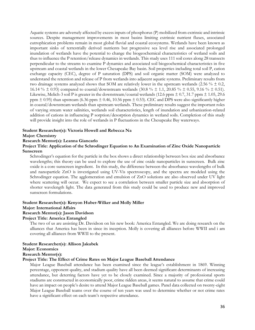Aquatic systems are adversely affected by excess inputs of phosphorus (P) mobilized from extrinsic and intrinsic sources. Despite management improvements in most basins limiting extrinsic nutrient fluxes, associated eutrophication problems remain in most global fluvial and coastal ecosystems. Wetlands have been known as important sinks of terrestrially derived nutrients but progressive sea level rise and associated prolonged inundation of wetlands have the potential to change the biogeochemical characteristics of wetland soils and thus to influence the P retention/release dynamics in wetlands. This study uses 111 soil cores along 28 transects perpendicular to the streams to examine P dynamics and associated soil biogeochemical characteristics in five upstream and coastal wetlands in the lower Chesapeake Bay basin. Soil properties including total soil P, cation exchange capacity (CEC), degree of P saturation (DPS) and soil organic matter (SOM) were analyzed to understand the retention and release of P from wetlands into adjacent aquatic systems. Preliminary results from two drainage systems analyzed shows that SOM are relatively lower in the upstream wetlands (2.56  $\% \pm 0.2$ , 16.14 % ± 0.93) compared to coastal/downstream wetlands (30.8 % ± 1.1, 20.85 % ± 0.55, 9.16 % ± 0.51). Likewise, Melich-3 soil P is greater in the downstream/coastal wetlands (12.6 ppm  $\pm$  0.7, 31.7 ppm  $\pm$  1.05, 29.6 ppm  $\pm$  0.95) than upstream (6.36 ppm  $\pm$  0.46, 10.56 ppm  $\pm$  0.53). CEC and DPS were also significantly higher in coastal/downstream wetlands than upstream wetlands. These preliminary results suggest the important roles of varying stream water salinities, wetlands soil characteristics, length of inundation and urbanization-related addition of cations in influencing P sorption/desorption dynamics in wetland soils. Completion of this study will provide insight into the role of wetlands in P fluctuations in the Chesapeake Bay waterways.

#### **Student Researcher(s): Victoria Howell and Rebecca Na**

#### **Major: Chemistry**

**Research Mentor(s): Leanna Giancarlo**

#### **Project Title: Application of the Schrodinger Equation to An Examination of Zinc Oxide Nanoparticle Sunscreen**

Schrodinger's equation for the particle in the box shows a direct relationship between box size and absorbance wavelengths; this theory can be used to explore the use of zinc oxide nanoparticles in sunscreen. Bulk zinc oxide is a core sunscreen ingredient. In this study, the difference between the absorbance wavelengths of bulk and nanoparticle ZnO is investigated using UV-Vis spectroscopy, and the spectra are modeled using the Schrodinger equation. The agglomeration and emulsion of ZnO solutions are also observed under UV light where scattering will occur. We expect to see a correlation between smaller particle size and absorption of shorter wavelength light. The data generated from this study could be used to produce new and improved sunscreen formulations.

#### **Student Researcher(s): Kenyon Huber-Wilker and Molly Miller Major: International Affairs Research Mentor(s): Jason Davidson**

#### **Project Title: America Entangled**

The two of us are assisting Dr. Davidson on his new book: America Entangled. We are doing research on the alliances that America has been in since its inception. Molly is covering all alliances before WWII and i am covering all alliances from WWII to the present.

#### **Student Researcher(s): Allison Jakubek**

#### **Major: Economics**

#### **Research Mentor(s):**

#### **Project Title: The Effect of Crime Rates on Major League Baseball Attendance**

Major League Baseball attendance has been examined since the league's establishment in 1869. Winning percentage, opponent quality, and stadium quality have all been deemed significant determinants of increasing attendance, but deterring factors have yet to be closely examined. Since a majority of professional sports stadiums are constructed in economically poor, crime ridden areas, it seems natural to assume that crime could have an impact on people's desire to attend Major League Baseball games. Panel data collected on twenty-eight Major League Baseball teams over the course of ten years was used to determine whether or not crime rates have a significant effect on each team's respective attendance.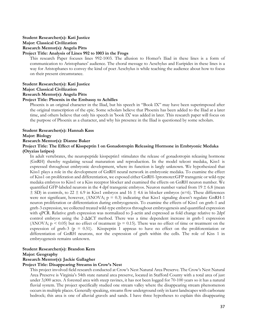#### **Student Researcher(s): Kati Justice Major: Classical Civilization Research Mentor(s): Angela Pitts Project Title: Analysis of Lines 992 to 1003 in the Frogs**

This research Paper focuses lines 992-1003. The allusion to Homer's Iliad in these lines is a form of communication to Aristophanes' audience. The choral message to Aeschylus and Euripides in these lines is a way for Aristophanes to convey the kind of poet Aeschylus is while teaching the audience about how to focus on their present circumstance.

#### **Student Researcher(s): Kati Justice Major: Classical Civilization Research Mentor(s): Angela Pitts Project Title: Phoenix in the Embassy to Achilles**

Phoenix is an original character in the Iliad, but his speech in "Book IX" may have been superimposed after the original transcription of the epic. Some scholars believe that Phoenix has been added to the Iliad at a later time, and others believe that only his speech in 'book IX' was added in later. This research paper will focus on the purpose of Phoenix as a character, and why his presence in the Iliad is questioned by some scholars.

#### **Student Researcher(s): Hannah Kass**

#### **Major: Biology**

#### **Research Mentor(s): Dianne Baker**

#### **Project Title: The Effect of Kisspeptin 1 on Gonadotropin Releasing Hormone in Embryonic Medaka (Oryzias latipes)**

In adult vertebrates, the neuropeptide kisspeptin1 stimulates the release of gonadotropin releasing hormone (GnRH) thereby regulating sexual maturation and reproduction. In the model teleost medaka, Kiss1 is expressed throughout embryonic development, where its function is largly unknown. We hypothesized that Kiss1 plays a role in the development of GnRH neural network in embryonic medaka. To examine the effect of Kiss1 on proliferation and differentiation, we exposed either GnRH-1promoter:GFP transgenic or wild-type medaka embryos to Kiss1 or a Kiss receptor blocker and examined the effects on GnRH neuron number. We quantified GFP-labeled neurons in the 4 dpf transgenic embryos. Neuron number varied from  $19 \pm 6.8$  (mean  $\pm$  SD) in controls, to 22  $\pm$  6.9 in Kiss1 embryos and 16  $\pm$  4.6 in blocker embryos (n=6). These differences were not significant, however, (ANOVA;  $p = 0.3$ ) indicating that Kiss1 signaling doesn't regulate GnRH-1 neuron proliferation or differentiation during embryogenesis. To examine the effects of Kiss1 on gnrh-1 and gnrh-3 expression, we collected treated wild-type embryos throughout embryogenesis and quantified expression with qPCR. Relative gnrh expression was normalized to β-actin and expressed as fold change relative to 2dpf control embryos using the 2-ΔΔCT method. There was a time dependent increase in gnrh-1 expression (ANOVA;  $p \le 0.05$ ) but no effect of treatment ( $p = 0.15$ ). There was no effect of time or treatment on the expression of gnrh-3 ( $p = 0.51$ ). Kisspeptin 1 appreas to have no effect on the proliforentiation or differentiation of GnRH neurons, nor the expression of gnrh within the cells. The role of Kiss 1 in embryogenesis remains unknown.

#### **Student Researcher(s): Brandon Kern**

#### **Major: Geography**

#### **Research Mentor(s): Jackie Gallagher**

#### **Project Title: Disappearing Streams in Crow's Nest**

This project involved field research conducted at Crow's Nest Natural Area Preserve. The Crow's Nest Natural Area Preserve is Virginia's 54th state natural area preserve, located in Stafford County with a total area of just under 3,000 acres. A forested area with steep ravines, it has not been logged for 70-100 years so it has a natural fluvial system. The project specifically studied one stream valley where the disappearing stream phenomenon occurs in multiple places. Generally speaking, streams flow underground only in karst landscapes with carbonate bedrock; this area is one of alluvial gravels and sands. I have three hypotheses to explain this disappearing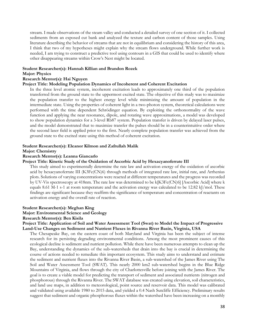stream. I made observations of the steam valley and conducted a detailed survey of one section of it. I collected sediments from an exposed cut bank and analyzed the texture and carbon content of those samples. Using literature describing the behavior of streams that are not in equilibrium and considering the history of this area, I think that two of my hypotheses might explain why the stream flows underground. While further work is needed, I am trying to construct a predictive tool using contours in a GIS that could be used to identify where other disappearing streams within Crow's Nest might be located.

### **Student Researcher(s): Hannah Killian and Brandon Rozek**

#### **Major: Physics**

#### **Research Mentor(s): Hai Nguyen**

#### **Project Title: Modeling Population Dynamics of Incoherent and Coherent Excitation**

In the three level atomic system, incoherent excitation leads to approximately one third of the population transferred from the ground state to the uppermost excited state. The objective of this study was to maximize the population transfer to the highest energy level while minimizing the amount of population in the intermediate state. Using the properties of coherent light in a two-photon system, theoretical calculations were performed with the time dependent Schrödinger equation. By exploiting the orthonormality of the wave function and applying the near resonance, dipole, and rotating wave approximations, a model was developed to show population dynamics for a 3-level Rb87 system. Population transfer is driven by delayed laser pulses, and the model demonstrated that to maximize transfer the pulses should be in a counterintuitive order where the second laser field is applied prior to the first. Nearly complete population transfer was achieved from the ground state to the excited state using this method of coherent excitation.

#### **Student Researcher(s): Eleanor Kilmon and Zafrullah Malik**

#### **Major: Chemistry**

#### **Research Mentor(s): Leanna Giancarlo**

#### **Project Title: Kinetic Study of the Oxidation of Ascorbic Acid by Hexacyanoferrate III**

This study aimed to experimentally determine the rate law and activation energy of the oxidation of ascorbic acid by hexacyanoferrate III (K3Fe(CN)6) through methods of integrated rate law, initial rate, and Arrhenius plots. Solutions of varying concentrations were reacted at different temperatures and the progress was recorded by UV-Vis spectroscopy at 418nm. The rate law was determined to be k[K3Fe(CN)6] [Ascorbic Acid] where k equals 8.61 M-1 s-1 at room temperature and the activation energy was calculated to be 12.82 kJ/mol. These findings are significant because they reaffirm the significance of temperature and concentration of reactants on activation energy and the overall rate of reaction.

#### **Student Researcher(s): Meghan King**

#### **Major: Environmental Science and Geology**

#### **Research Mentor(s): Ben Kisila**

#### **Project Title: Application of Soil and Water Assessment Tool (Swat) to Model the Impact of Progressive Land-Use Changes on Sediment and Nutrient Fluxes in Rivanna River Basin, Virginia, USA**

The Chesapeake Bay, on the eastern coast of both Maryland and Virginia has been the subject of intense research for its persisting degrading environmental conditions. Among the most prominent causes of this ecological decline is sediment and nutrient pollution. While there have been numerous attempts to clean up the Bay, understanding the dynamics of the sub-watersheds that drain into the bay is crucial in determining the course of actions needed to remediate this important ecosystem. This study aims to understand and estimate the sediment and nutrient fluxes into the Rivanna River Basin, a sub-watershed of the James River using The Soil and Water Assessment Tool (SWAT). This nearly 2000 km2 sub-watershed begins in the Blue Ridge Mountains of Virginia, and flows through the city of Charlottesville before joining with the James River. The goal is to create a viable model for predicting the transport of sediment and associated nutrients (nitrogen and phosphorous) through the Rivanna River. The SWAT database was created using elevation, soil characteristics, and land use maps, in addition to meteorological, point source and reservoir data. This model was calibrated and validated using available 1980 to 2015 data, and yielded a 0.4 Nash Sutcliffe Efficiency. Preliminary results suggest that sediment and organic phosphorous fluxes within the watershed have been increasing on a monthly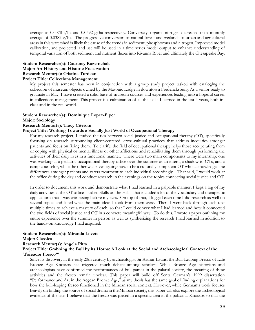average of 0.0078 t/ha and 0.0592 g/ha respectively. Conversely, organic nitrogen decreased on a monthly average of 0.0382 g/ha. The progressive conversion of natural forest and wetlands to urban and agricultural areas in this watershed is likely the cause of the trends in sediment, phosphorous and nitrogen. Improved model calibration, and projected land use will be used in a time series model output to enhance understanding of temporal variation of both sediment and nutrient fluxes into Rivanna River and ultimately the Chesapeake Bay.

#### **Student Researcher(s): Courtney Kuzemchak Major: Art History and Historic Preservation Research Mentor(s): Cristina Turdean Project Title: Collections Management**

My project this semester has been in conjunction with a group study project tasked with cataloging the collection of museum objects owned by the Masonic Lodge in downtown Fredericksburg. As a senior ready to graduate in May, I have created a solid base of museum courses and experiences leading into a hopeful career in collections management. This project is a culmination of all the skills I learned in the last 4 years, both inclass and in the real world.

#### **Student Researcher(s): Dominique Lopez-Piper**

#### **Major: Sociology**

#### **Research Mentor(s): Tracy Citeroni**

#### **Project Title: Working Towards a Socially Just World of Occupational Therapy**

For my research project, I studied the ties between social justice and occupational therapy (OT), specifically focusing on research surrounding client-centered, cross-cultural practices that address inequities amongst patients and focus on fixing them. To clarify, the field of occupational therapy helps those recuperating from or coping with physical or mental illness or other afflictions and rehabilitating them through performing the activities of their daily lives in a functional manner. There were two main components to my internship: one was working at a pediatric occupational therapy office over the summer as an intern, a shadow to OTs, and a camp counselor, while the other was investigating how to be a culturally competent OT who acknowledges the differences amongst patients and caters treatment to each individual accordingly. That said, I would work at the office during the day and conduct research in the evenings on the topics connecting social justice and OT.

In order to document this work and demonstrate what I had learned in a palpable manner, I kept a log of my daily activities at the OT office—called Skills on the Hill—that included a lot of the vocabulary and therapeutic applications that I was witnessing before my eyes. On top of that, I logged each time I did research as well on several topics and listed what the main ideas I took from them were. Then, I went back through each text multiple times to achieve a mastery of each, so that I could convey what I had learned and how it connected the two fields of social justice and OT in a concrete meaningful way. To do this, I wrote a paper outlining my entire experience over the summer in person as well as synthesizing the research I had learned in addition to the hands-on knowledge I had acquired.

#### **Student Researcher(s): Miranda Lovett**

#### **Major: Classics**

#### **Research Mentor(s): Angela Pitts**

#### **Project Title: Grabbing the Bull by its Horns: A Look at the Social and Archaeological Context of the 'Toreador Fresco'"**

Since its discovery in the early 20th century by archaeologist Sir Arthur Evans, the Bull-Leaping Fresco of Late Bronze Age Knossos has triggered much debate among scholars. While Bronze Age historians and archaeologists have confirmed the performances of bull games in the palatial society, the meaning of these activities and the fresco remain unclear. This paper will build off Senta German's 1999 dissertation "Performance and Art in the Aegean Bronze Age," as my thesis has the same goal of finding explanations for how the bull-leaping fresco functioned in the Minoan social context. However, while German's work focuses heavily on finding the source of social drama in the Minoan society, this paper will also explore the archeological evidence of the site. I believe that the fresco was placed in a specific area in the palace at Knossos so that the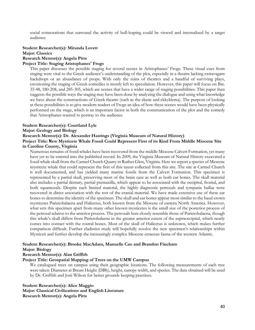social connotations that surround the activity of bull-leaping could be viewed and internalized by a target audience.

#### **Student Researcher(s): Miranda Lovett Major: Classics Research Mentor(s): Angela Pitts**

#### **Project Title: Staging Aristophanes' Frogs**

This paper discusses the possible staging for several scenes in Aristophanes' Frogs. These visual cues from staging were vital to the Greek audience's understanding of the plot, especially in a theatre lacking extravagant backdrops or an abundance of props. With only the ruins of theatres and a handful of surviving plays, envisioning the staging of Greek comedies is mostly left to speculation. However, this paper will focus on Bat. 35-48, 180-208, and 285-305, which are scenes that have a wider range of staging possibilities. This paper then suggests the possible ways the staging may have been done by analyzing the dialogue and using what knowledge we have about the constructions of Greek theatre (such as the skene and ekkyklema). The purpose of looking at these possibilities is to give modern readers of Frogs an idea of how these scenes would have been physically performed on the stage, which is an important factor in both the communication of the plot and the comedy that Aristophanes wanted to portray to the audience.

#### **Student Researcher(s): Courtland Lyle**

#### **Major: Geology and Biology**

#### **Research Mentor(s): Dr. Alexander Hastings (Virginia Museum of Natural History)**

#### **Project Title: New Mysticete Whale Fossil Could Represent First of its Kind From Middle Miocene Site in Caroline County, Virginia**

Numerous remains of fossil whales have been recovered from the middle Miocene Calvert Formation, yet many have yet to be entered into the published record. In 2009, the Virginia Museum of Natural History excavated a fossil whale skull from the Carmel Church Quarry in Ruther Glen, Virginia. Here we report a species of Miocene mysticete whale that could represent the first of this taxon collected from this site. The site at Carmel Church is well documented, and has yielded many marine fossils from the Calvert Formation. This specimen is represented by a partial skull, preserving most of the brain case as well as both ear bones. The skull material also includes a partial dentary, partial premaxilla, which appear to be associated with the occipital, frontal, and both squamosals. Despite such limited material, the highly diagnostic petrosals and tympanic bullae were recovered in direct association with the rest of the cranial material. We have made extensive use of these ear bones to determine the identity of the specimen. The skull and ear bones appear most similar to the basal crown mysticetes Parietobalaena and Halicetus, both known from the Miocene of eastern North America. However, what sets this specimen apart from many other known mysticetes is the small size of the posterior process of the petrosal relative to the anterior process. The petrosals here closely resemble those of Parietobalaena, though this whale's skull differs from Parietobalaena in the greater anterior extent of the supraoccipital, which nearly comes into contact with the rostral bones. Most of the skull of Halicetus is unknown, which makes further comparison difficult. Further cladistics study will hopefully resolve the new specimen's relationships within Mysticeti and further develop the increasingly complex Miocene cetacean fauna of the western Atlantic.

#### **Student Researcher(s): Brooke MacAdam, Manuelle Cao and Brandon Fincham**

#### **Major: Biology**

## **Research Mentor(s): Alan Griffith**

### **Project Title: Geospatial Mapping of Trees on the UMW Campus**

We catalogued trees on campus using their geographic locations. The following measurements of each tree were taken: Diameter at Breast Height (DBh), height, canopy width, and species. The data obtained will be used by Dr. Griffith and Joni Wilson for better grounds keeping practices.

#### **Student Researcher(s): Alice Maggio**

**Major: Classical Civilizations and English Literature Research Mentor(s): Angela Pitts**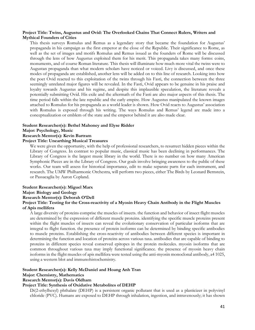#### **Project Title: Twins, Augustus and Ovid: The Overlooked Chains That Connect Rulers, Writers and Mythical Founders of Cities**

This thesis surveys Romulus and Remus as a legendary story that became the foundation for Augustus' propaganda in his campaign as the first emperor at the close of the Republic. Their significance to Rome, as well as the set of images and motifs Romulus and Remus issued as the founders of Rome will be discussed through the lens of how Augustus exploited them for his merit. This propaganda takes many forms: coins, monuments, and of course Roman literature. This thesis will illuminate how much more vital the twins were to Augustan propaganda than what modern scholars have noticed or voiced. Livy is discussed, and once these modes of propaganda are established, another lens will be added on to this line of research. Looking into how the poet Ovid reacted to this exploitation of the twins through his Fasti, the connection between the three seemingly unrelated major figures will be revealed. In the Fasti, Ovid appears to be genuine in his praise and loyalty towards Augustus and his regime, and despite this implausible speculation, the literature reveals a potentially submitting Ovid. His exile and the aftermath of the Fasti are also major aspects of this thesis. The time period falls within the late republic and the early empire. How Augustus manipulated the known images attached to Romulus for his propaganda as a world leader is shown. How Ovid reacts to Augustus' association with Romulus is exposed through his writing. The ways Romulus and Remus' legend are made into a conceptualization or emblem of the state and the emperor behind it are also made clear.

#### **Student Researcher(s): Bethel Mahoney and Elyse Ridder Major: Psychology, Music**

#### **Research Mentor(s): Kevin Bartram**

#### **Project Title: Unearthing Musical Treasures**

We were given the opportunity, with the help of professional researchers, to resurrect hidden pieces within the Library of Congress. In contrast to popular music, classical music has been declining in performances. The Library of Congress is the largest music library in the world. There is no number on how many American Symphonic Pieces are in the Library of Congress. Our goals involve bringing awareness to the public of these works. Our team will assess for historical importance, edit to make separate parts for each instrument, and research. The UMW Philharmonic Orchestra, will perform two pieces, either The Birds by Leonard Bernstein, or Passacaglia by Aaron Copland.

# **Student Researcher(s): Miguel Marx**

**Major: Biology and Geology**

## **Research Mentor(s): Deborah O'Dell**

#### **Project Title: Testing for the Cross-reactivity of a Myosin Heavy Chain Antibody in the Flight Muscles of Apis mellifera**

A large diversity of proteins comprise the muscles of insects. the function and behavior of insect flight muscles are determined by the expression of different muscle proteins. identifying the specific muscle proteins present within the flight muscles of insects can reveal the evolutionary conservation of particular isoforms that are integral to flight function. the presence of protein isoforms can be determined by binding specific antibodies to muscle proteins. Establishing the cross-reactivity of antibodies between different species is important in determining the function and location of proteins across various taxa. antibodies that are capable of binding to proteins in different species reveal conserved epitopes in the protein molecules. myosin isoforms that are common throughout various taxa may imply functional significance. the presence of myosin heavy chain isoforms in the flight muscles of apis mellifera were tested using the anti-myosin monoclonal antibody, a4 1025, using a western blot and immunohistochemistry.

#### **Student Researcher(s): Kelly McDaniel and Hoang Anh Tran**

#### **Major: Chemistry, Mathematics**

#### **Research Mentor(s): Davis Oldham**

#### **Project Title: Synthesis of Oxidative Metabolites of DEHP**

Di(2-ethylhexyl) phthalate (DEHP) is a persistent organic pollutant that is used as a plasticizer in polyvinyl chloride (PVC). Humans are exposed to DEHP through inhalation, ingestion, and intravenously; it has shown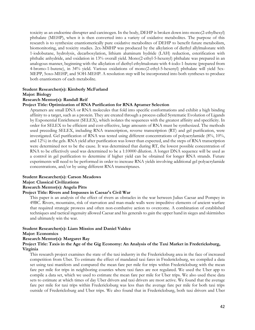toxicity as an endocrine disrupter and carcinogen. In the body, DEHP is broken down into mono(2-ethylhexyl) phthalate (MEHP), when it is then converted into a variety of oxidative metabolites. The purpose of this research is to synthesize enantiomerically pure oxidative metabolites of DEHP to benefit future metabolism, biomonitoring, and toxicity studies. 2cx-MMHP was produced by the alkylation of diethyl allylmalonate with 1-iodobutane, hydrolysis, decarboxylation, lithium aluminum hydride (LAH) reduction, esterification with phthalic anhydride, and oxidation in 13% overall yield. Mono(2-ethyl-5-hexenyl) phthalate was prepared in an analogous manner, beginning with the alkylation of diethyl ethylmalonate with 4-iodo-1-butene (prepared from 4-bromo-1-butene), in 34% yield. Various oxidations of mono(2-ethyl-5-hexenyl) phthalate will yield 5cx-MEPP, 5oxo-MEHP, and 5OH-MEHP. A resolution step will be incorporated into both syntheses to produce both enantiomers of each metabolite.

#### **Student Researcher(s): Kimberly McFarland**

#### **Major: Biology**

#### **Research Mentor(s): Randall Reif**

#### **Project Title: Optimization of RNA Purification for RNA Aptamer Selection**

Aptamers are small DNA or RNA molecules that fold into specific conformations and exhibit a high binding affinity to a target, such as a protein. They are created through a process called Systematic Evolution of Ligands by Exponential Enrichment (SELEX), which isolates the sequences with the greatest affinity and specificity. In order for SELEX to be efficient and cost-effective, large amounts of RNA must be synthesized. The methods used preceding SELEX, including RNA transcription, reverse transcription (RT) and gel purification, were investigated. Gel purification of RNA was tested using different concentrations of polyacrylamide (8%, 10%, and 12%) in the gels. RNA yield after purification was lower than expected, and the steps of RNA transcription were determined not to be the cause. It was determined that during RT, the lowest possible concentration of RNA to be effectively used was determined to be a 1:10000 dilution. A longer DNA sequence will be used as a control in gel purification to determine if higher yield can be obtained for longer RNA strands. Future experiments will need to be performed in order to increase RNA yields involving additional gel polyacrylamide concentrations, and/or by using different RNA transcriptases.

#### **Student Researcher(s): Carson Meadows**

#### **Major: Classical Civilizations**

#### **Research Mentor(s): Angela Pitts**

#### **Project Title: Rivers and Impasses in Caesar's Civil War**

This paper is an analysis of the effect of rivers as obstacles in the war between Julius Caesar and Pompey in 49BC. Rivers, mountains, risk of starvation and man-made walls were impeditive elements of ancient warfare that required strategic prowess and often non-combative action to overcome. A combination of established techniques and tactical ingenuity allowed Caesar and his generals to gain the upper hand in sieges and skirmishes and ultimately win the war.

#### **Student Researcher(s): Liam Missios and Daniel Valdez**

#### **Major: Economics**

#### **Research Mentor(s): Margaret Ray**

#### **Project Title: Taxis in the Age of the Gig Economy: An Analysis of the Taxi Market in Fredericksburg, Virginia**

This research project examines the state of the taxi industry in the Fredericksburg area in the face of increased competition from Uber. To estimate the effect of mandated taxi fares in Fredericksburg, we compiled a data set using taxi manifests and compared the mean fare per mile for trips within Fredericksburg with the mean fare per mile for trips in neighboring counties where taxi fares are not regulated. We used the Uber app to compile a data set, which we used to estimate the mean fare per mile for Uber trips. We also used these data sets to estimate at which times of day Uber drivers and taxi drivers are most active. We found that the average fare per mile for taxi trips within Fredericksburg was less than the average fare per mile for both taxi trips outside of Fredericksburg and Uber trips. We also found that in Fredericksburg, both taxi drivers and Uber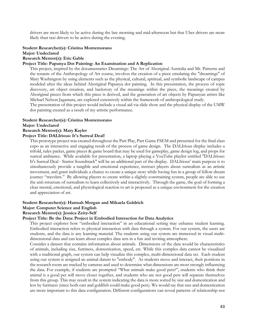drivers are most likely to be active during the late morning and mid-afternoon but that Uber drivers are more likely than taxi drivers to be active during the evening.

#### **Student Researcher(s): Cristina Montemorano Major: Undeclared**

# **Research Mentor(s): Eric Gable**

#### **Project Title: Papunya Dot Painting: An Examination and A Replication**

This project, inspired by the documentaries Dreamings: The Art of Aboriginal Australia and Mr. Patterns and the tenants of the Anthropology of Art course, involves the creation of a piece emulating the "dreamings" of Mary Washington by using elements such as the physical, cultural, spiritual, and symbolic landscape of campus modeled after the ideas behind Aboriginal Papunya dot painting. In this presentation, the process of topic discovery, art object creation, and backstory of the meanings within the piece, the meanings created by Aboriginal pieces from which this piece is derived, and the generation of art objects by Papunyan artists like Michael Nelson Jagamara, are explored extensively within the framework of anthropological study.

The presentation of this project would include a visual aid via slide show and the physical display of the UMW dot painting created as a result of my artistic performance.

#### **Student Researcher(s): Cristina Montemorano**

**Major: Undeclared**

#### **Research Mentor(s): Mary Kayler**

#### **Project Title: DALIrious: It's Surreal Deal!**

This prototype project was created throughout the Part Play, Part Game FSEM and presented for the final class expo as an interactive and engaging result of the process of game design. The DALIrious display includes a trifold, rules packet, game pieces & game board that may be used for gameplay, game design log, and props for surreal ambiance. While available for presentation, a laptop playing a YouTube playlist entitled "DALIrious: It's Surreal Deal - Starter Soundtrack" will be an additional part of the display. DALIrious' main purpose is to simultaneously provide a tangible and emotional experience, instruct players about surrealism as an artistic movement, and grant individuals a chance to create a unique story while having fun in a group of fellow dream journey "travelers." By allowing players to create within a slightly-constraining system, people are able to use the anti-structure of surrealism to learn collectively and interactively. Through the game, the goal of forming a clear mental, emotional, and physiological reaction to art is proposed as a unique environment for the creation and appreciation of art.

#### **Student Researcher(s): Hannah Morgan and Mikaela Goldrich**

#### **Major: Computer Science and English**

#### **Research Mentor(s): Jessica Zeitz-Self**

#### **Project Title: Be the Data: Project in Embodied Interaction for Data Analytics**

This project explores how "embodied interaction" in an educational setting may enhance student learning. Embodied interaction refers to physical interaction with data through a system. For our system, the users are students, and the data is any learning material. The students using our system are immersed in visual multidimensional data and can learn about complex data sets in a fun and inviting atmosphere.

Consider a dataset that contains information about animals. Dimensions of the data would be characteristics of animals, including size, furriness, domestication, speed, etc. While this complex data cannot be visualized with a traditional graph, our system can help visualize this complex, multi-dimensional data set. Each student using our system is assigned an animal datum to "embody". As students move and interact, their positions in the research room are tracked by cameras and used to determine what dimensions are most strongly influencing the data. For example, if students are prompted "What animals make good pets?", students who think their animal is a good pet will move closer together, and students who are not good pets will separate themselves from this group. This may result in the system indicating the data is more sorted by size and domestication and less by furriness (since both cats and goldfish could make good pets). We would say that size and domestication are more important to this data configuration. Different configurations can reveal patterns of relationship not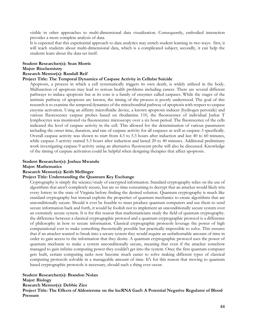visible in other approaches to multi-dimensional data visualization. Consequently, embodied interaction provides a more complete analysis of data.

It is expected that this experiential approach to data analytics may enrich student learning in two ways: first, it will teach students about multi-dimensional data, which is a complicated subject; secondly, it can help the students learn about the data set itself.

#### **Student Researcher(s): Sean Morris**

#### **Major: Biochemistry**

#### **Research Mentor(s): Randall Reif**

#### **Project Title: The Temporal Dynamics of Caspase Activity in Cellular Suicide**

Apoptosis, a process in which a cell systematically triggers its own death, is widely utilized in the body. Malfunction of apoptosis may lead to serious health problems including cancer. There are several different pathways to induce apoptosis but at its core is a family of enzymes called caspases. While the stages of the intrinsic pathway of apoptosis are known, the timing of the process is poorly understood. The goal of this research is to examine the temporal dynamics of the mitochondrial pathway of apoptosis with respect to caspase enzyme activation. Using an affinity microfluidic device, a known apoptosis inducer (hydrogen peroxide) and various fluorescence caspase probes based on rhodamine 110, the fluorescence of individual Jurkat T lymphocytes was monitored via fluorescence microscopy over a six hour period. The fluorescence of the cells indicated the level of caspase activity in the cell. This allowed for the determination of various parameters including the onset time, duration, and rate of caspase activity for all caspases as well as caspase-3 specifically. Overall caspase activity was shown to start from 4.3 to 5.3 hours after induction and last 40 to 60 minutes, while caspase-3 activity started 5.3 hours after induction and lasted 20 to 40 minutes. Additional preliminary work investigating caspase-9 activity using an alternative fluorescent probe will also be discussed. Knowledge of the timing of caspase activation could be helpful when designing therapies that affect apoptosis.

#### **Student Researcher(s): Joshua Mwandu**

**Major: Mathematics**

#### **Research Mentor(s): Keith Mellinger**

#### **Project Title: Understanding the Quantum Key Exchange**

Cryptography is simply the science/study of encrypted information. Standard cryptography relies on the use of algorithms that aren't completely secure, but are so time consuming to decrypt that an attacker would likely win every lottery in the state of Virginia before finding the desired solution. Quantum cryptography is much like standard cryptography but instead exploits the properties of quantum mechanics to create algorithms that are unconditionally secure. Should it ever be feasible to mass produce quantum computers and use them to send secure information back and forth, it would be foolish not to implement an unconditionally secure system over an extremely secure system. It is for this reason that mathematicians study the field of quantum cryptography. the difference between a classical cryptographic protocol and a quantum cryptographic protocol is a difference of philosophy in how to secure information. Classical cryptographic protocols leverage the power of high computational cost to make something theoretically possible but practically impossible to solve. This ensures that if an attacker wanted to break into a secure system they would require an unfathomable amount of time in order to gain access to the information that they desire. A quantum cryptographic protocol uses the power of quantum mechanic to make a system unconditionally secure, meaning that even if the attacker somehow managed to gain infinite computing power they couldn't get into the system. Once the first quantum computer gets built, certain computing tasks now become much easier to solve making different types of classical computing protocols solvable in a manageable amount of time. It's for this reason that moving to quantum based cryptographic protocols is necessary, should such a thing ever occur.

#### **Student Researcher(s): Brandon Nolan**

#### **Major: Biology**

**Research Mentor(s): Debbie Zies**

**Project Title: The Effects of Aldosterone on the lncRNA Gas5: A Potential Negative Regulator of Blood Pressure**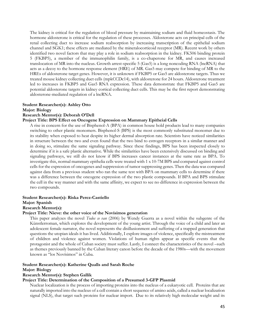The kidney is critical for the regulation of blood pressure by maintaining sodium and fluid homeostasis. The hormone aldosterone is critical for the regulation of these processes. Aldosterone acts on principal cells of the renal collecting duct to increase sodium reabsorption by increasing transcription of the epithelial sodium channel and SGK1; these effects are mediated by the mineralocorticoid receptor (MR). Recent work by others identified two novel factors that may play a role in sodium reabsorption in the kidney. FK506 binding protein 5 (FKBP5), a member of the immunophilin family, is a co-chaperone for MR, and causes increased translocation of MR into the nucleus. Growth arrest-specific 5 (Gas5) is a long noncoding RNA (lncRNA) that acts as a decoy to the hormone response element (HRE) of MR. Gas5 may compete for binding of MR to the HREs of aldosterone target genes. However, it is unknown if FKBP5 or Gas5 are aldosterone targets. Thus we treated mouse kidney collecting duct cells (mpkCCDc14), with aldosterone for 24 hours. Aldosterone treatment led to increases in FKBP5 and Gas5 RNA expression. These data demonstrate that FKBP5 and Gas5 are potential aldosterone targets in kidney cortical collecting duct cells. This may be the first report demonstrating aldosterone-mediated regulation of a lncRNA.

#### **Student Researcher(s): Ashley Otto**

**Major: Biology**

#### **Research Mentor(s): Deborah O'Dell**

#### **Project Title: BPS Effect on Oncogene Expression on Mammary Epitheial Cells**

A rise in concern for the use of Bisphenol-A (BPA) in common house hold products lead to many companies switching to other plastic monomers. Bisphenol-S (BPS) is the most commonly substituted monomer due to its stability when exposed to heat despite its higher dermal absorption rate. Scientists have noticed similarities in structure between the two and even found that the two bind to estrogen receptors in a similar manner and in doing so, stimulate the same signaling pathway. Since these findings, BPS has been inspected closely to determine if it is a safe plastic alternative. While the similarities have been extensively discussed on binding and signaling pathways, we still do not know if BPS increases cancer instances at the same rate as BPA. To investigate this, normal mammary epithelia cells were treated with 1 x 10-7M BPS and compared against control cells for the expression of oncogenes and suppression of tumor suppressing genes. Then the data was compared against data from a previous student who ran the same test with BPA on mammary cells to determine if there was a difference between the oncogene expression of the two plastic compounds. If BPA and BPS stimulate the cell in the way manner and with the same affinity, we expect to see no difference in expression between the two compounds.

#### **Student Researcher(s): Riska Perez-Castiello**

#### **Major: Spanish**

#### **Research Mentor(s):**

#### **Project Title: Nieve: the other voice of the Novísimos generation**

This paper analyzes the novel *Todos se van* (2006) by Wendy Guerra as a novel within the subgenre of the Künstlerroman, which explores the development of the young artist. Through the voice of a child and later an adolescent female narrator, the novel represents the disillusionment and suffering of a trapped generation that questions the utopian ideals it has lived. Additionally, I explore images of violence, specifically the mistreatment of children and violence against women. Violations of human rights appear as specific events that the protagonist and the whole of Cuban society must suffer. Lastly, I connect the characteristics of the novel –such as themes previously banned by the Cuban literary canon before the decade of the 1980s—with the movement known as "los Novísimos" in Cuba.

# **Student Researcher(s): Katherine Qualls and Sarah Roche**

#### **Major: Biology**

#### **Research Mentor(s): Stephen Gallik**

#### **Project Title: Determination of the Composition of a Presumed 3-GFP Plasmid**

Nuclear localization is the process of importing proteins into the nucleus of a eukaryotic cell. Proteins that are naturally imported into the nucleus of a cell contain a short sequence of amino acids, called a nuclear localization signal (NLS), that target such proteins for nuclear import. Due to its relatively high molecular weight and its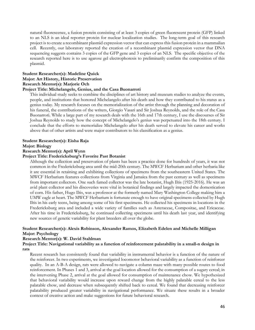natural fluorescence, a fusion protein consisting of at least 3 copies of green fluorescent protein (GFP) linked to an NLS is an ideal reporter protein for nuclear localization studies. The long-term goal of this research project is to create a recombinant plasmid expression vector that can express this fusion protein in a mammalian cell. Recently, our laboratory reported the creation of a recombinant plasmid expression vector that DNA sequencing suggests contains 3 copies of the GFP gene and 3 copies of an NLS. The specific objective of the research reported here is to use agarose gel electrophoresis to preliminarily confirm the composition of this plasmid.

#### **Student Researcher(s): Madeline Quick Major: Art History, Historic Preservation Research Mentor(s): Marjorie Och**

#### **Project Title: Michelangelo, Genius, and the Casa Buonarroti**

This individual study seeks to combine the disciplines of art history and museum studies to analyze the events, people, and institutions that honored Michelangelo after his death and how they contributed to his status as a genius today. My research focuses on the memorialization of the artist through the planning and decoration of his funeral, the contributions of the writers, Giorgio Vasari and Sir Joshua Reynolds, and the role of the Casa Buonarroti. While a large part of my research deals with the 16th and 17th century, I use the discourses of Sir Joshua Reynolds to study how the concept of Michelangelo's genius was perpetuated into the 18th century. I conclude that the efforts to memorialize Michelangelo after his death served to elevate his career and works above that of other artists and were major contributors to his classification as a genius.

#### **Student Researcher(s): Eisha Raja**

#### **Major: Biology**

#### **Research Mentor(s): April Wynn**

#### **Project Title: Fredericksburg's Favorite Past Botanist**

Although the collection and preservation of plants has been a practice done for hundreds of years, it was not common in the Fredericksburg area until the mid-20th century. The MWCF Herbarium and other herbaria like it are essential in retaining and exhibiting collections of specimens from the southeastern United States. The MWCF Herbarium features collections from Virginia and Jamaica from the past century as well as specimens from important collectors. One such famed collector was the late botanist, Hugh Iltis (1925-2016). He was an avid plant collector and his discoveries were vital in botanical findings and largely impacted the domestication of corn. His father, Hugo Iltis, was a professor at the formerly named Mary Washington College making him a UMW eagle at heart. The MWCF Herbarium is fortunate enough to have original specimens collected by Hugh Iltis in his early teens, being among some of his first specimens. He collected his specimens in locations in the Fredericksburg area and included a wide variety of families such as Asteraceae, Compositae, and Ericaceae. After his time in Fredericksburg, he continued collecting specimens until his death last year, and identifying new sources of genetic variability for plant breeders all over the globe.

#### **Student Researcher(s): Alexis Robinson, Alexander Ramos, Elizabeth Edelen and Michelle Milligan Major: Psychology**

#### **Research Mentor(s): W. David Stahlman**

#### **Project Title: Navigational variability as a function of reinforcement palatability in a small-n design in rats**

Recent research has consistently found that variability in instrumental behavior is a function of the nature of the reinforcer. In two experiments, we investigated locomotor behavioral variability as a function of reinforcer quality. In an A-B-A design, rats were allowed to navigate a column maze with many possible routes to food reinforcement. In Phases 1 and 3, arrival at the goal location allowed for the consumption of a sugary cereal; in the intervening Phase 2, arrival at the goal allowed for consumption of maintenance chow. We hypothesized that behavioral variability would increase upon reward change from the highly palatable cereal to the less palatable chow, and decrease when subsequently shifted back to cereal. We found that decreasing reinforcer palatability produced greater variability in navigational performance. We situate these results in a broader context of creative action and make suggestions for future behavioral research.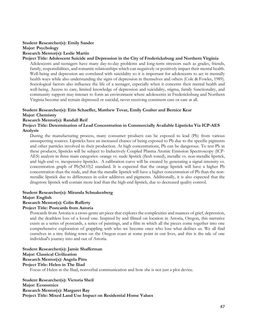#### **Student Researcher(s): Emily Sander Major: Psychology Research Mentor(s): Leslie Martin**

### **Project Title: Adolescent Suicide and Depression in the City of Fredericksburg and Northern Virginia**

Adolescents and teenagers have many day-to-day problems and long-term stressors such as grades, friends, family, responsibilities, and romantic relationships which can negatively or positively impact their mental health. Well-being and depression are correlated with suicidality so it is important for adolescents to act in mentally health ways while also understanding the signs of depression in themselves and others (Cole & Fowles, 1989). Sociological factors also influence the life of a teenager, especially when it concerns their mental health and well-being. Access to care, limited knowledge of depression and suicidality, stigma, family functionality, and community support may interact to form an environment where adolescents in Fredericksburg and Northern Virginia become and remain depressed or suicidal, never receiving consistent care or care at all.

### **Student Researcher(s): Erin Schaeffer, Matthew Tovar, Emily Coulter and Bernice Kear**

#### **Major: Chemistry**

### **Research Mentor(s): Randall Reif**

#### **Project Title: Determination of Lead Concentration in Commercially Available Lipsticks Via ICP-AES Analysis**

During the manufacturing process, many consumer products can be exposed to lead (Pb) from various unsuspecting sources. Lipsticks have an increased chance of being exposed to Pb due to the specific pigments and other particles involved in their production. At high concentrations, Pb can be dangerous. To test Pb in these products, lipsticks will be subject to Inductively Coupled Plasma Atomic Emission Spectroscopy (ICP-AES) analysis in three main categories: orange vs. nude lipstick (flesh toned), metallic vs. non-metallic lipstick, and high-end vs. inexpensive lipsticks. A calibration curve will be created by generating a signal intensity vs. concentration graph of Pb(NO3)2 standard. It is expected that the orange lipstick will have a higher Pb concentration than the nude, and that the metallic lipstick will have a higher concentration of Pb than the nonmetallic lipstick due to differences in color additives and pigments. Additionally, it is also expected that the drugstore lipstick will contain more lead than the high-end lipstick, due to decreased quality control.

# **Student Researcher(s): Miranda Schnakenberg**

# **Major: English**

# **Research Mentor(s): Colin Rafferty**

#### **Project Title: Postcards from Astoria**

Postcards from Astoria is a cross-genre art piece that explores the complexities and nuances of grief, depression, and the deathless loss of a loved one. Inspired by and filmed on location in Astoria, Oregon, this narrative exists as a series of postcards, a series of paintings, and a film in which all the pieces come together into one comprehensive exploration of grappling with who we become once who lose what defines us. We all find ourselves in a tiny fishing town on the Oregon coast at some point in our lives, and this is the tale of one individual's journey into and out of Astoria.

#### **Student Researcher(s): Jamie Shafferman Major: Classical Civilization Research Mentor(s): Angela Pitts Project Title: Helen in The Iliad**

Focus of Helen in the Iliad, nonverbal communication and how she is not just a plot device.

**Student Researcher(s): Victoria Sheil Major: Economics Research Mentor(s): Margaret Ray Project Title: Mixed Land Use Impact on Residential Home Values**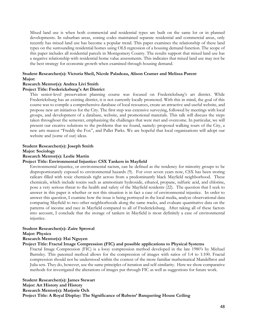Mixed land use is when both commercial and residential types are built on the same lot or in planned developments. In suburban areas, zoning codes maintained separate residential and commercial areas, only recently has mixed land use has become a popular trend. This paper examines the relationship of these land types on the surrounding residential homes using OLS regression of a housing demand function. The scope of this paper includes all residential parcels in Montgomery County. The results support that mixed land use has a negative relationship with residential home value assessments. This indicates that mixed land use may not be the best strategy for economic growth when examined through housing demand.

#### **Student Researcher(s): Victoria Sheil, Nicole Paladeau, Alison Cramer and Melissa Parent Major:**

#### **Research Mentor(s): Andrea Livi Smith**

#### **Project Title: Fredericksburg's Art District**

This senior-level preservation planning course was focused on Fredericksburg's art district. While Fredericksburg has an existing district, it is not currently locally promoted. With this in mind, the goal of this course was to compile a comprehensive database of local resources, create an attractive and useful website, and propose new art initiatives for the City. The first step was extensive surveying, followed by meetings with local groups, and development of a database, website, and promotional materials. This talk will discuss the steps taken throughout the semester, emphasizing the challenges that were met and overcome. In particular, we will present our creative solutions to the problems that we found, namely: proposed walking tours of the City, a new arts mascot "Freddy the Fox", and Pallet Parks. We are hopeful that local organizations will adopt our website and (some of our) ideas.

#### **Student Researcher(s): Joseph Smith**

**Major: Sociology**

#### **Research Mentor(s): Leslie Martin**

#### **Project Title: Environmental Injustice: CSX Tankers in Mayfield**

Environmental injustice, or environmental racism, can be defined as the tendency for minority groups to be disproportionately exposed to environmental hazards (9). For over seven years now, CSX has been storing railcars filled with toxic chemicals right across from a predominantly black Mayfield neighborhood. These chemicals, which include toxins such as ammonium hydroxide, ethanol, propane, sulfuric acid, and chlorine, pose a very serious threat to the health and safety of the Mayfield residents (22). The question that I seek to answer in this paper is whether or not this situation is in fact a case of environmental injustice. In order to answer this question, I examine how the issue is being portrayed in the local media, analyze observational data comparing Mayfield to two other neighborhoods along the same tracks, and evaluate quantitative data on the patterns of income and race in Mayfield compared to all of Fredericksburg. After taking all of these factors into account, I conclude that the storage of tankers in Mayfield is most definitely a case of environmental injustice.

#### **Student Researcher(s): Zaire Sprowal**

#### **Major: Physics**

#### **Research Mentor(s): Hai Nguyen**

#### **Project Title: Fractal Image Compression (FIC) and possible applications to Physical Systems**

Fractal Image Compression (FIC) is a lossy compression method developed in the late 1980's by Michael Barnsley. This patented method allows for the compression of images with ratios of 1:4 to 1:100. Fractal compression should not be understood within the context of the more familiar mathematical Mandelbrot and Julia sets. They do, however, use the same principles of iteration and self-similarity. Here we show comparative methods for investigated the alterations of images put through FIC as well as suggestions for future work.

**Student Researcher(s): James Stewart Major: Art History and History Research Mentor(s): Marjorie Och Project Title: A Royal Display: The Significance of Rubens' Banqueting House Ceiling**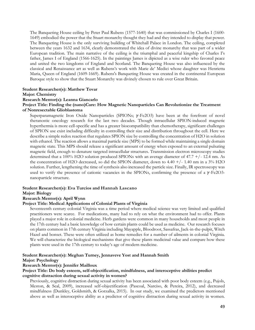The Banqueting House ceiling by Peter Paul Rubens (1577-1640) that was commissioned by Charles I (1600- 1649) embodied the power that the Stuart monarchy thought they had and they intended to display that power. The Banqueting House is the only surviving building of Whitehall Palace in London. The ceiling, completed between the years 1632 and 1634, clearly demonstrated the idea of divine monarchy that was part of a wider European tradition. The main narrative of the ceiling is the triumphal and peaceful kingship of Charles I's father, James I of England (1566-1625). In the paintings James is dipicted as a wise ruler who favored peace and united the two kingdoms of England and Scotland. The Banqueting House was also influenced by the classical and Renaissance art as well as Rubens's work with Marie de' Medici whose daughter was Henrietta Maria, Queen of England (1609-1669). Rubens's Banqueting House was created in the continental European Baroque style to show that the Stuart Monarchy was divinely chosen to rule over Great Britain.

#### **Student Researcher(s): Matthew Tovar**

#### **Major: Chemistry**

#### **Research Mentor(s): Leanna Giancarlo**

#### **Project Title: Finding the (nano)Cure: How Magnetic Nanoparticles Can Revolutionize the Treatment of Nonresectable Glioblastoma**

Superparamagnetic Iron Oxide Nanoparticles (SPIONs;  $\gamma$ -Fe2O3) have been at the forefront of novel theranostic oncology research for the last two decades. Though intracellular SPION-induced magnetic hyperthermia is more cell-specific and has a greater biocompatibility than chemotherapy, significant challenges of SPION use exist including difficulty in controlling their size and distribution throughout the cell. Here we describe a simple redox reaction that regulates SPION size by controlling the concentration of H2O in solution with ethanol. The reaction allows a maximal particle size (MPS) to be formed while maintaining a single domain magnetic state. This MPS should release a significant amount of energy when exposed to an external pulsating magnetic field, enough to denature targeted intracellular structures. Transmission electron microscopy studies determined that a 100% H2O solution produced SPIONs with an average diameter of 47.7 +/- 12.4 nm. As the concentration of H2O decreased, so did the SPION diameter, down to 4.40 +/- 1.40 nm in a 3% H2O solution. Further, lengthening the time of synthesis also increased the particle size. Finally, IR spectroscopy was used to verify the presence of cationic vacancies in the SPIONs, confirming the presence of a  $\gamma$ -Fe2O3nanoparticle structure.

#### **Student Researcher(s): Eva Turcios and Hannah Lascano**

#### **Major: Biology**

#### **Research Mentor(s): April Wynn**

#### **Project Title: Medical Applications of Colonial Plants of Virginia**

Seventeenth century colonial Virginia was a time period where medical science was very limited and qualified practitioners were scarce. For medications, many had to rely on what the environment had to offer. Plants played a major role in colonial medicine. Herb gardens were common in many households and most people in the 17th century had a basic knowledge of how certain plants could be used as medicine. Our research focuses on plants common in 17th century Virginia including Mayapple, Bloodroot, Sassafras, Jack-in-the-pulpit, Witch Hazel and bonset. These were often utilized as home remedies for a number of ailments in colonial Virginia. We will characterize the biological mechanisms that give these plants medicinal value and compare how these plants were used in the 17th century to today's age of modern medicine.

#### **Student Researcher(s): Meghan Turney, Jennaveve Yost and Hannah Smith**

#### **Major: Psychology**

#### **Research Mentor(s): Jennifer Mailloux**

#### **Project Title: Do body esteem, self-objectification, mindfulness, and interoceptive abilities predict cognitive distraction during sexual activity in women?**

Previously, cognitive distraction during sexual activity has been associated with poor body esteem (e.g., Pujols, Meston, & Seal, 2009), increased self-objectification (Pascoal, Narciso, & Pereira, 2012), and decreased mindfulness (Dunkley, Goldsmith, & Gorzalka, 2015). In our study, we examined the predictors mentioned above as well as interoceptive ability as a predictor of cognitive distraction during sexual activity in women.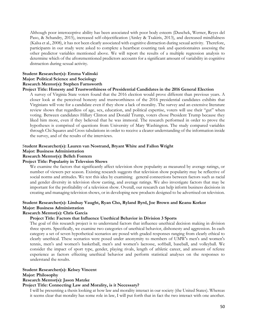Although poor interoceptive ability has been associated with poor body esteem (Duschek, Werner, Reyes del Paso, & Schandry, 2015), increased self-objectification (Ainley & Tsakiris, 2013), and decreased mindfulness (Kalsa et al., 2008), it has not been clearly associated with cognitive distraction during sexual activity. Therefore, participants in our study were asked to complete a heartbeat counting task and questionnaires assessing the other predictor variables mentioned above. We will report the results of a multiple regression analysis to determine which of the aftorementioned predictors accounts for a significant amount of variability in cognitive distraction during sexual activity.

# **Student Researcher(s): Emma Valinski Major: Political Science and Sociology**

#### **Research Mentor(s): Stephen Farnsworth**

#### **Project Title: Honesty and Trustworthiness of Presidential Candidates in the 2016 General Election**

A survey of Virginia State voters found that the 2016 election would prove different than previous years. A closer look at the perceived honesty and trustworthiness of the 2016 presidential candidates exhibits that Virginians will vote for a candidate even if they show a lack of morality. The survey and an extensive literature review shows that regardless of age, sex, education, and political expertise, voters will use their "gut" when voting. Between candidates Hillary Clinton and Donald Trump, voters chose President Trump because they liked him more, even if they believed that he was immoral. The research performed in order to prove the hypotheses is comprised of questions from University of Mary Washington. The study compared variables through Chi Squares and Cross tabulations in order to receive a clearer understanding of the information inside the survey, and of the results of the interviews.

# S**tudent Researcher(s): Lauren van Nostrand, Bryant White and Fallon Wright**

# **Major: Business Administration**

## **Research Mentor(s): Belleh Fontem**

#### **Project Title: Popularity in Televsion Shows**

We examine the factors that significantly affect television show popularity as measured by average ratings, or number of viewers per season. Existing research suggests that television show popularity may be reflective of social norms and attitudes. We test this idea by examining general connections between factors such as racial and gender diversity in television show casting, and average ratings. We also investigate factors that may be important for the profitability of a television show. Overall, our research can help inform business decisions in creating and managing television shows, or in developing new products designed to be advertised on television.

# **Student Researcher(s): Lindsay Vaught, Ryan Cho, Ryland Byrd, Joe Brown and Keanu Korkor Major: Business Administration**

# **Research Mentor(s): Chris Garcia**

#### **Project Title: Factors that Influence Unethical Behavior in Division 3 Sports**

The goal of this research project is to understand factors that influence unethical decision making in division three sports. Specifically, we examine two categories of unethical behavior, dishonesty and aggression. In each category a set of seven hypothetical scenarios are posed with graded responses ranging from clearly ethical to clearly unethical. These scenarios were posed under anonymity to members of UMW's men's and women's tennis, men's and women's basketball, men's and women's lacrosse, softball, baseball, and volleyball. We consider the impact of sport type, gender, playing rivals, length of athletic career, and amount of referee experience as factors effecting unethical behavior and perform statistical analyses on the responses to understand the results.

#### **Student Researcher(s): Kelsey Vincent**

#### **Major: Philosophy**

#### **Research Mentor(s): Jason Matzke**

#### **Project Title: Connecting Law and Morality, is it Necessary?**

I will be presenting a thesis looking at how law and morality interact in our society (the United States). Whereas it seems clear that morality has some role in law, I will put forth that in fact the two interact with one another.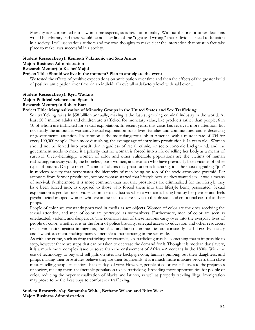Morality is incorporated into law in some aspects, as is law into morality. Without the one or other decisions would be arbitrary and there would be no clear line of the "right and wrong," that individuals need to function in a society. I will use various authors and my own thoughts to make clear the interaction that must in fact take place to make laws successful in a society.

#### **Student Researcher(s): Kenneth Vukmanic and Sara Armor**

#### **Major: Business Administration**

#### **Research Mentor(s): Kashef Majid**

#### **Project Title: Should we live in the moment? Plan to anticipate the event**

We tested the effects of positive expectations on anticipation over time and then the effects of the greater build of positive anticipation over time on an individual's overall satisfactory level with said event.

#### **Student Researcher(s): Kyra Watkins Major: Political Science and Spanish Research Mentor(s): Robert Barr**

#### **Project Title: Marginalization of Minority Groups in the United States and Sex Trafficking**

Sex trafficking rakes in \$58 billion annually, making it the fastest growing criminal industry in the world. At least 20.9 million adults and children are trafficked for monetary value, like products rather than people, 6 in 10 of whom are trafficked for sexual exploitation. In recent years, this crisis has received more attention, but not nearly the amount it warrants. Sexual exploitation ruins lives, families and communities, and is deserving of governmental attention. Prostitution is the most dangerous job in America, with a murder rate of 204 for every 100,000 people. Even more disturbing, the average age of entry into prostitution is 14 years old. Women should not be forced into prostitution regardless of racial, ethnic, or socioeconomic background, and the government needs to make it a priority that no woman is forced into a life of selling her body as a means of survival. Overwhelmingly, women of color and other vulnerable populations are the victims of human trafficking; runaway youth, the homeless, poor women, and women who have previously been victims of other types of trauma. Despite recent "feminist" claims that prostitution is liberating, it is the most degrading "job" in modern society that perpetuates the hierarchy of men being on top of the socio-economic pyramid. Per accounts from former prostitutes, not one woman started that lifestyle because they wanted sex; it was a means of survival. Furthermore, it is more common than not that prostitutes are criminalized for the lifestyle they have been forced into, as opposed to those who forced them into that lifestyle being persecuted. Sexual exploitation is gender-based violence on steroids. Just as when a woman is being beat by her partner and feels psychological trapped, women who are in the sex trade are slaves to the physical and emotional control of their pimps.

People of color are constantly portrayed in media as sex objects. Women of color are the ones receiving the sexual attention, and men of color are portrayed as womanizers. Furthermore, men of color are seen as uneducated, violent, and dangerous. The normalization of these notions carry over into the everyday lives of people of color; whether it is in the form of police brutality, unequal access to education and other resources, or discrimination against immigrants, the black and latino communities are constantly held down by society and law enforcement, making many vulnerable to participating in the sex trade.

As with any crime, such as drug trafficking for example, sex trafficking may be something that is impossible to stop, however there are steps that can be taken to decrease the demand for it. Though it is modern day slavery, it is a much more complex issue to solve than the enslavement of African-Americans in the 1800s. With the use of technology to buy and sell girls on sites like backpage.com, families pimping out their daughters, and pimps making their prostitutes believe they are their boyfriends, it is a much more intricate process than slave masters selling people in auctions back in days of yore. However, people of color are still slaves to the prejudices of society, making them a vulnerable population to sex trafficking. Providing more opportunities for people of color, reducing the hyper sexualization of blacks and latinos, as well as properly tackling illegal immigration may prove to be the best ways to combat sex trafficking.

#### **Student Researcher(s): Samantha White, Bethany Wilson and Riley West Major: Business Administration**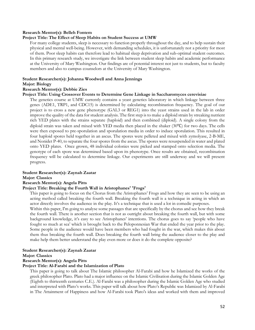#### **Research Mentor(s): Belleh Fontem**

#### **Project Title: The Effect of Sleep Habits on Student Success at UMW**

For many college students, sleep is necessary to function properly throughout the day, and to help sustain their physical and mental well-being. However, with demanding schedules, it is unfortunately not a priority for most of them. Poor sleep habits can therefore lead to habitual sleep deprivation and sub-optimal student outcomes. In this primary research study, we investigate the link between student sleep habits and academic performance at the University of Mary Washington. Our findings are of potential interest not just to students, but to faculty members and also to campus counselors at the University of Mary Washington.

### **Student Researcher(s): Johanna Woodwell and Anna Jennings**

#### **Major: Biology**

#### **Research Mentor(s): Debbie Zies**

#### **Project Title: Using Crossover Events to Determine Gene Linkage in Saccharomyces cerevisiae**

The genetics course at UMW currently contains a yeast genetics laboratory in which linkage between three genes (ADE1, TRP1, and CDC15) is determined by calculating recombination frequency. The goal of our project is to cross a new gene phenotype (GAL3 or REG1) into the yeast strains used in the lab in order improve the quality of the data for student analysis. The first step is to make a diploid strain by streaking nutrient rich YED plates with the strains separate (haploid) and then combined (diploid). A single colony from the diploid strain was taken and mixed with YED media then placed in the shaker (30℃) for two days. The cells were then exposed to pre-sporulation and sporulation media in order to induce sporulation. This resulted in four haploid spores held together in an ascus. The spores were pelleted and mixed with zymolyase, 2-B-ME, and Nonidet P-40, to separate the four spores from the ascus. The spores were resuspended in water and plated onto YED plates. Once grown, 48 individual colonies were picked and stamped onto selection media. The genotype of each spore was determined based upon its phenotype. Once results are obtained, recombination frequency will be calculated to determine linkage. Our experiments are still underway and we will present progress.

#### **Student Researcher(s): Zaynah Zaatar**

#### **Major: Classics**

#### **Research Mentor(s): Angela Pitts**

#### **Project Title: Breaking the Fourth Wall in Aristophanes' 'Frogs'**

This paper is going to focus on the Chorus from the Aristophanes' Frogs and how they are seen to be using an acting method called breaking the fourth wall. Breaking the fourth wall is a technique in acting in which an actor directly involves the audience in the play. It's a technique that is used a lot in comedic purposes.

Within this paper, I'm going to analyse some passages that are specifically by the chorus and see how they break the fourth wall. There is another section that is not as outright about breaking the fourth wall, but with some background knowledge, it's easy to see Aristophanes' intentions. The chorus goes to say 'people who have fought so much at sea' which is brought back to the Peloponnesian War that ended the year prior to the play. Some people in the audience would have been members who had fought in the war, which makes this about them thus breaking the fourth wall. Does breaking the fourth wall bring the audience closer to the play and make help them better understand the play even more or does it do the complete opposite?

#### **Student Researcher(s): Zaynah Zaatar**

#### **Major: Classics**

#### **Research Mentor(s): Angela Pitts**

#### **Project Title: Al-Farabi and the Islamization of Plato**

This paper is going to talk about The Islamic philosopher Al-Farabi and how he Islamized the works of the greek philosopher Plato. Plato had a major influence on the Islamic Civilisation during the Islamic Golden Age (Eighth to thirteenth centuries C.E.). Al-Farabi was a philosopher during the Islamic Golden Age who studied and interpreted with Plato's works. This paper will talk about how Plato's Republic was Islamized by Al-Farabi in The Attainment of Happiness and how Al-Farabi took Plato's ideas and worked with them and improved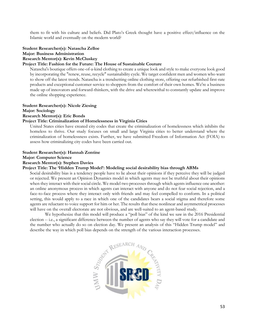them to fit with his culture and beliefs. Did Plato's Greek thought have a positive effect/influence on the Islamic world and eventually on the modern world?

# **Student Researcher(s): Natascha Zelloe**

**Major: Business Administration**

#### **Research Mentor(s): Kevin McCluskey**

#### **Project Title: Fashion for the Future: The House of Sustainable Couture**

Natascha's boutique offers one-of-a-kind clothing to create a unique look and style to make everyone look good by incorporating the "renew, reuse, recycle" sustainability cycle. We target confident men and women who want to show off the latest trends. Natascha is a trendsetting online clothing store, offering our refurbished first-rate products and exceptional customer service to shoppers from the comfort of their own homes. We're a business made up of innovators and forward-thinkers, with the drive and wherewithal to constantly update and improve the online shopping experience.

#### **Student Researcher(s): Nicole Ziesing**

#### **Major: Sociology**

#### **Research Mentor(s): Eric Bonds**

#### **Project Title: Criminalization of Homelessness in Virginia Cities**

United States cities have created city codes that create the criminalization of homelessness which inhibits the homeless to thrive. Our study focuses on small and large Virginia cities to better understand where the criminalization of homelessness exists. Further, we have submitted Freedom of Information Act (FOIA) to assess how criminalizing city codes have been carried out.

#### **Student Researcher(s): Hannah Zontine**

#### **Major: Computer Science**

#### **Research Mentor(s): Stephen Davies**

#### **Project Title: The 'Hidden Trump Model': Modeling social desirability bias through ABMs**

Social desirability bias is a tendency people have to lie about their opinions if they perceive they will be judged or rejected. We present an Opinion Dynamics model in which agents may not be truthful about their opinions when they interact with their social circle. We model two processes through which agents influence one another: an online anonymous process in which agents can interact with anyone and do not fear social rejection, and a face-to-face process where they interact only with friends and may feel compelled to conform. In a political setting, this would apply to a race in which one of the candidates bears a social stigma and therefore some agents are reluctant to voice support for him or her. The results that these nonlinear and asymmetrical processes will have on the overall electorate are not obvious, and are well-suited to an agent-based study.

We hypothesize that this model will produce a "poll bias" of the kind we saw in the 2016 Presidential election -- i.e., a significant difference between the number of agents who say they will vote for a candidate and the number who actually do so on election day. We present an analysis of this "Hidden Trump model" and describe the way in which poll bias depends on the strength of the various interaction processes.

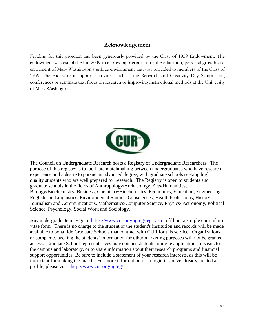# **Acknowledgement**

Funding for this program has been generously provided by the Class of 1959 Endowment. The endowment was established in 2009 to express appreciation for the education, personal growth and enjoyment of Mary Washington's unique environment that was provided to members of the Class of 1959. The endowment supports activities such as the Research and Creativity Day Symposium, conferences or seminars that focus on research or improving instructional methods at the University of Mary Washington.



The Council on Undergraduate Research hosts a Registry of Undergraduate Researchers. The purpose of this registry is to facilitate matchmaking between undergraduates who have research experience and a desire to pursue an advanced degree, with graduate schools seeking high quality students who are well prepared for research. The Registry is open to students and graduate schools in the fields of Anthropology/Archaeology, Arts/Humanities, Biology/Biochemistry, Business, Chemistry/Biochemistry, Economics, Education, Engineering, English and Linguistics, Environmental Studies, Geosciences, Health Professions, History, Journalism and Communications, Mathematics/Computer Science, Physics/ Astronomy, Political Science, Psychology, Social Work and Sociology.

Any undergraduate may go to [https://www.cur.org/ugreg/reg1.asp](http://guest.cvent.com/events/mproc.aspx?m=3f340d41-bbbd-4ff6-a9a9-e0c6811bf720&t=https%3a%2f%2fwww.cur.org%2fugreg%2freg1.asp&s=https%3a%2f%2fwww.cur.org%2fugreg%2freg1.asp) to fill out a simple curriculum vitae form. There is no charge to the student or the student's institution and records will be made available to bona fide Graduate Schools that contract with CUR for this service. Organizations or companies seeking the students' information for other marketing purposes will not be granted access. Graduate School representatives may contact students to invite applications or visits to the campus and laboratory, or to share information about their research programs and financial support opportunities. Be sure to include a statement of your research interests, as this will be important for making the match. For more information or to login if you've already created a profile, please visit: [http://www.cur.org/ugreg/.](http://guest.cvent.com/events/mproc.aspx?m=3f340d41-bbbd-4ff6-a9a9-e0c6811bf720&t=http%3a%2f%2fwww.cur.org%2fugreg%2f&s=http%3a%2f%2fwww.cur.org%2fugreg%2f)